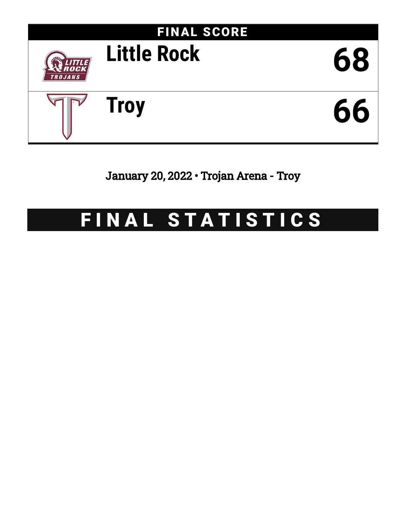

January 20, 2022 • Trojan Arena - Troy

# FINAL STATISTICS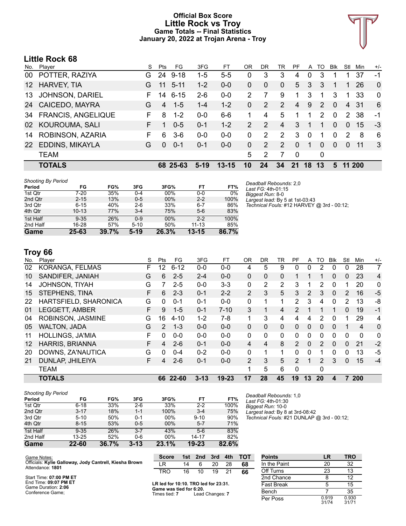### **Official Box Score Little Rock vs Troy Game Totals -- Final Statistics January 20, 2022 at Trojan Arena - Troy**



# **Little Rock 68**

| No.             | Player                    | S  | Pts      | FG.      | 3FG     | FT        | ΟR            | DR            | TR             | PF          | A        | TO            | <b>Blk</b> | Stl            | Min    | $+/-$        |
|-----------------|---------------------------|----|----------|----------|---------|-----------|---------------|---------------|----------------|-------------|----------|---------------|------------|----------------|--------|--------------|
| 00              | POTTER, RAZIYA            | G. | 24       | $9 - 18$ | 1-5     | $5 - 5$   | 0             | 3             | 3              | 4           | 0        | 3             |            |                | 37     | -1           |
| 12 <sup>2</sup> | <b>HARVEY, TIA</b>        | G  | 11       | $5 - 11$ | $1 - 2$ | $0-0$     | 0             | 0             | $\Omega$       | 5           | 3        | 3             |            | 1              | 26     | $\mathbf{0}$ |
| 13              | <b>JOHNSON, DARIEL</b>    | F. | 14       | $6 - 15$ | $2-6$   | $0 - 0$   | 2             |               | 9              | 1           | 3        | 1             | 3          | 1              | 33     | $\Omega$     |
| 24              | CAICEDO, MAYRA            | G  | 4        | $1 - 5$  | $1 - 4$ | $1 - 2$   | 0             | 2             | $\overline{2}$ | 4           | 9        | $\mathcal{P}$ | $\Omega$   | $\overline{4}$ | -31    | 6            |
| 34              | <b>FRANCIS, ANGELIQUE</b> | F. | 8        | $1 - 2$  | $0 - 0$ | $6-6$     |               | 4             | 5              |             |          | 2             | $\Omega$   | 2              | 38     | -1           |
| 02              | KOUROUMA, SALI            |    |          | $0 - 5$  | $0 - 1$ | $1 - 2$   | $\mathcal{P}$ | $\mathcal{P}$ | 4              | 3           | -1       | 1             | $\Omega$   | 0              | 15     | -3           |
| 14              | ROBINSON, AZARIA          | F. | 6        | $3-6$    | $0-0$   | $0-0$     | 0             | 2             | 2              | 3           | $\Omega$ | 1             | $\Omega$   | 2              | 8      | 6            |
| 22              | EDDINS, MIKAYLA           | G  | $\Omega$ | $0 - 1$  | $0 - 1$ | $0 - 0$   | 0             | 2             | $\mathcal{P}$  | $\Omega$    | 1        | $\Omega$      | $\Omega$   | 0              | 11     | 3            |
|                 | <b>TEAM</b>               |    |          |          |         |           | 5             | 2             | 7              | $\mathbf 0$ |          | 0             |            |                |        |              |
|                 | <b>TOTALS</b>             |    |          | 68 25-63 | $5-19$  | $13 - 15$ | 10            | 24            | 34             | 21          | 18       | 13            | 5.         |                | 11 200 |              |

| Shooting By Period |           |       |          |       |           |       |
|--------------------|-----------|-------|----------|-------|-----------|-------|
| Period             | FG        | FG%   | 3FG      | 3FG%  | FT        | FT%   |
| 1st Qtr            | 7-20      | 35%   | $0 - 4$  | 00%   | $0 - 0$   | 0%    |
| 2nd Qtr            | $2 - 15$  | 13%   | $0 - 5$  | 00%   | $2 - 2$   | 100%  |
| 3rd Qtr            | $6 - 15$  | 40%   | $2-6$    | 33%   | $6 - 7$   | 86%   |
| 4th Qtr            | $10 - 13$ | 77%   | $3 - 4$  | 75%   | $5-6$     | 83%   |
| 1st Half           | $9 - 35$  | 26%   | $0 - 9$  | 00%   | $2 - 2$   | 100%  |
| 2nd Half           | 16-28     | 57%   | $5 - 10$ | 50%   | $11 - 13$ | 85%   |
| Game               | 25-63     | 39.7% | $5-19$   | 26.3% | $13 - 15$ | 86.7% |

*Deadball Rebounds:* 2,0 *Last FG:* 4th-01:15 *Biggest Run:* 8-0 *Largest lead:* By 5 at 1st-03:43 *Technical Fouls:* #12 HARVEY @ 3rd - 00:12;

# **Troy 66**

| <b>HOLLINGS, JA'MIA</b><br><b>HARRIS, BRIANNA</b><br>DOWNS, ZA'NAUTICA<br>DUNLAP, JHILEIYA<br>TEAM<br><b>TOTALS</b> | F<br>F.<br>G<br>F. | 0<br>4<br>0<br>4 | $0 - 0$<br>$2 - 6$<br>$0 - 4$<br>$2 - 6$ | $0 - 0$<br>$0 - 1$<br>$0 - 2$<br>$0 - 1$ | $0 - 0$<br>$0 - 0$<br>$0 - 0$<br>$0 - 0$ | $\Omega$<br>4<br>0<br>$\overline{2}$ | 0<br>4<br>1<br>3<br>5<br>28 | $\mathbf{0}$<br>8<br>1<br>5<br>6<br>45 | 0<br>$\mathcal{P}$<br>0<br>$\mathcal{P}$<br>0 | 0<br>$\Omega$<br>0 | $\Omega$<br>$\mathcal{P}$<br>$\mathcal{P}$<br>0 | $\Omega$<br>$\Omega$<br>0<br>3 | $\Omega$<br>$\Omega$<br>0<br>$\Omega$ | 0<br>21<br>13<br>15 | 0<br>$-2$<br>-5<br>$-4$ |
|---------------------------------------------------------------------------------------------------------------------|--------------------|------------------|------------------------------------------|------------------------------------------|------------------------------------------|--------------------------------------|-----------------------------|----------------------------------------|-----------------------------------------------|--------------------|-------------------------------------------------|--------------------------------|---------------------------------------|---------------------|-------------------------|
|                                                                                                                     |                    |                  |                                          |                                          |                                          |                                      |                             |                                        |                                               |                    |                                                 |                                |                                       |                     |                         |
|                                                                                                                     |                    |                  |                                          |                                          |                                          |                                      |                             |                                        |                                               |                    |                                                 |                                |                                       |                     |                         |
|                                                                                                                     |                    |                  |                                          |                                          |                                          |                                      |                             |                                        |                                               |                    |                                                 |                                |                                       |                     |                         |
|                                                                                                                     |                    |                  |                                          |                                          |                                          |                                      |                             |                                        |                                               |                    |                                                 |                                |                                       |                     |                         |
|                                                                                                                     |                    |                  |                                          |                                          |                                          |                                      |                             |                                        |                                               |                    |                                                 |                                |                                       |                     |                         |
| <b>WALTON, JADA</b>                                                                                                 | G                  | $\mathcal{P}$    | $1 - 3$                                  | $0 - 0$                                  | $0 - 0$                                  | $\Omega$                             | $\Omega$                    | $\Omega$                               | $\Omega$                                      | $\Omega$           | $\Omega$                                        | $\Omega$                       |                                       | $\overline{4}$      | 0                       |
| ROBINSON, JASMINE                                                                                                   | G                  | 16               | $4 - 10$                                 | $1-2$                                    | $7-8$                                    |                                      | 3                           | 4                                      | 4                                             | 4                  | 2                                               | $\Omega$                       |                                       | 29                  | 4                       |
| <b>LEGGETT, AMBER</b>                                                                                               | F.                 | 9                | $1 - 5$                                  | $0 - 1$                                  | $7 - 10$                                 | 3                                    | 1                           | $\overline{4}$                         | $\mathcal{P}$                                 |                    | 1                                               | 1                              | $\Omega$                              | 19                  | $-1$                    |
| HARTSFIELD, SHARONICA                                                                                               | G                  | 0                | $0 - 1$                                  | $0 - 1$                                  | $0 - 0$                                  | 0                                    | 1                           | 1                                      | $\overline{2}$                                | 3                  | 4                                               | $\mathbf 0$                    | 2                                     | 13                  | -8                      |
| STEPHENS, TINA                                                                                                      | F                  | 6                | $2 - 3$                                  | $0 - 1$                                  | $2 - 2$                                  | $\overline{2}$                       | 3                           | 5                                      | 3                                             | $\overline{2}$     | 3                                               | $\Omega$                       | 2                                     | 16                  | $-5$                    |
| <b>JOHNSON, TIYAH</b>                                                                                               | G                  |                  | $2 - 5$                                  | $0 - 0$                                  | $3 - 3$                                  | 0                                    | 2                           | $\overline{2}$                         | 3                                             |                    | 2                                               | 0                              |                                       | 20                  | 0                       |
| SANDIFER, JANIAH                                                                                                    | G                  | 6                | $2 - 5$                                  | $2 - 4$                                  | $0 - 0$                                  | 0                                    | $\Omega$                    | $\mathbf{0}$                           |                                               |                    |                                                 | $\mathbf{0}$                   | 0                                     | 23                  | $\overline{4}$          |
| KORANGA, FELMAS                                                                                                     | F                  | 12               | $6 - 12$                                 | $0 - 0$                                  | $0-0$                                    | 4                                    | 5                           | 9                                      | 0                                             | 0                  | 2                                               | 0                              | 0                                     | 28                  | $\overline{7}$          |
| Player                                                                                                              | S                  | Pts              | FG                                       | 3FG                                      | FT                                       | <b>OR</b>                            | DR                          | TR                                     | РF                                            | A                  | то                                              | <b>B</b> lk                    | Stl                                   | Min                 | $+/-$                   |
|                                                                                                                     |                    |                  |                                          |                                          |                                          |                                      |                             |                                        |                                               |                    |                                                 |                                |                                       |                     |                         |

| <b>Shooting By Period</b> |           |       |          |       |           |       |
|---------------------------|-----------|-------|----------|-------|-----------|-------|
| Period                    | FG        | FG%   | 3FG      | 3FG%  | FT        | FT%   |
| 1st Qtr                   | $6 - 18$  | 33%   | $2-6$    | 33%   | $2 - 2$   | 100%  |
| 2nd Qtr                   | $3 - 17$  | 18%   | $1 - 1$  | 100%  | $3 - 4$   | 75%   |
| 3rd Qtr                   | $5 - 10$  | 50%   | $0 - 1$  | 00%   | $9 - 10$  | 90%   |
| 4th Qtr                   | $8 - 15$  | 53%   | $0 - 5$  | 00%   | $5 - 7$   | 71%   |
| 1st Half                  | $9 - 35$  | 26%   | $3 - 7$  | 43%   | $5-6$     | 83%   |
| 2nd Half                  | $13 - 25$ | 52%   | $0 - 6$  | 00%   | 14-17     | 82%   |
| Game                      | 22-60     | 36.7% | $3 - 13$ | 23.1% | $19 - 23$ | 82.6% |

*Deadball Rebounds:* 1,0 *Last FG:* 4th-01:30 *Biggest Run:* 10-0 *Largest lead:* By 8 at 3rd-08:42 *Technical Fouls:* #21 DUNLAP @ 3rd - 00:12;

Per Poss

| Game Notes:                                            | <b>Score</b>                             | 1st | 2nd | 3rd           | 4th | тот | <b>Points</b>     |    | TRO |
|--------------------------------------------------------|------------------------------------------|-----|-----|---------------|-----|-----|-------------------|----|-----|
| Officials: Kylie Galloway, Jody Cantrell, Kiesha Brown | .R                                       | 14  |     | 20            | 28  | 68  | In the Paint      | 20 | 32  |
| Attendance: 1801                                       | <b>TRO</b>                               | 16  | 10  | 19            |     | 66  | Off Turns         |    | 13  |
| Start Time: 07:00 PM ET                                |                                          |     |     |               |     |     | 2nd Chance        |    | 12  |
| End Time: 09:07 PM ET<br>Game Duration: 2:06           | LR led for 10:10. TRO led for 23:31.     |     |     |               |     |     | <b>Fast Break</b> |    | 15  |
| Conference Game:                                       | Game was tied for 6:20.<br>Timae tiad: 7 |     |     | and Changer 7 |     |     | Bench             |    | 35  |

Times tied: **7** Lead Changes: **7**

| 0.919 | 0.930 |
|-------|-------|
| 31/74 | 31/71 |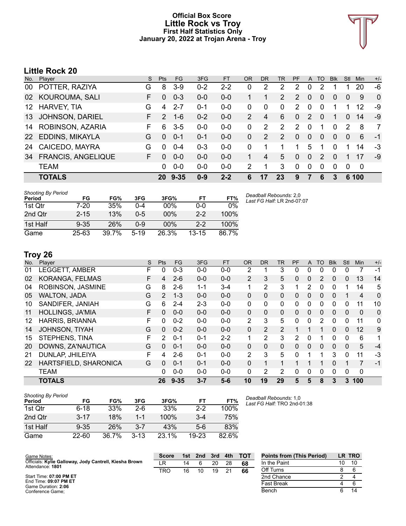### **Official Box Score Little Rock vs Troy First Half Statistics Only January 20, 2022 at Trojan Arena - Troy**



# **Little Rock 20**

| No.             | Player                    | S. | Pts           | FG.      | 3FG     | <b>FT</b> | <b>OR</b> | <b>DR</b> | TR             | PF       | A              | TO       | <b>BIK</b> | Stl            | <b>Min</b> | $+/-$        |
|-----------------|---------------------------|----|---------------|----------|---------|-----------|-----------|-----------|----------------|----------|----------------|----------|------------|----------------|------------|--------------|
| 00              | POTTER, RAZIYA            | G  | 8             | $3-9$    | $0 - 2$ | $2 - 2$   | 0         | 2         | 2              | 2        | 0              | 2        |            |                | 20         | -6           |
| 02              | KOUROUMA, SALI            | F. | $\Omega$      | $0 - 3$  | $0 - 0$ | $0 - 0$   |           |           | $\overline{2}$ | 2        | $\overline{0}$ | $\Omega$ | 0          | $\overline{0}$ | 9          | $\mathbf{0}$ |
| 12 <sup>1</sup> | <b>HARVEY, TIA</b>        | G  | 4             | $2 - 7$  | $0 - 1$ | $0 - 0$   | 0         | $\Omega$  | 0              | 2        | $\mathbf{0}$   | $\Omega$ | 1          |                | 12         | -9           |
| 13              | <b>JOHNSON, DARIEL</b>    | F. | $\mathcal{P}$ | $1 - 6$  | $0 - 2$ | $0 - 0$   | 2         | 4         | 6              | $\Omega$ | 2              | $\Omega$ | 1          | 0              | 14         | -9           |
| 14              | ROBINSON, AZARIA          | F  | 6             | $3 - 5$  | $0 - 0$ | $0-0$     | 0         | 2         | 2              | 2        | $\mathbf{0}$   |          | $\Omega$   | $\mathcal{P}$  | 8          | 7            |
| <b>22</b>       | EDDINS, MIKAYLA           | G  | $\Omega$      | $0 - 1$  | $0 - 1$ | $0 - 0$   | 0         | 2         | 2              | 0        | $\overline{0}$ | 0        | $\Omega$   | $\Omega$       | 6          | $-1$         |
| 24              | CAICEDO, MAYRA            | G  | $\Omega$      | $0 - 4$  | $0 - 3$ | $0 - 0$   | 0         |           |                |          | 5              |          | 0          |                | 14         | -3           |
| 34              | <b>FRANCIS, ANGELIQUE</b> | F. | <sup>0</sup>  | $0 - 0$  | $0 - 0$ | $0 - 0$   |           | 4         | 5              | 0        | $\Omega$       | 2        | 0          |                | 17         | -9           |
|                 | <b>TEAM</b>               |    | 0             | $0 - 0$  | $0-0$   | $0-0$     | 2         | 1         | 3              | 0        | $\Omega$       | $\Omega$ | $\Omega$   | $\Omega$       | 0          |              |
|                 | <b>TOTALS</b>             |    | 20            | $9 - 35$ | $0 - 9$ | $2 - 2$   | 6         | 17        | 23             | 9        |                | 6        | 3          |                | 6 100      |              |

| <b>Shooting By Period</b><br>Period | FG       | FG%   | 3FG      | 3FG%   | FT        | FT%   | Dι |
|-------------------------------------|----------|-------|----------|--------|-----------|-------|----|
| 1st Otr                             | $7-20$   | 35%   | በ-4      | 00%    | $0 - 0$   | 0%    |    |
| 2nd Qtr                             | $2 - 15$ | 13%   | $0 - 5$  | 00%    | $2 - 2$   | 100%  |    |
| 1st Half                            | $9 - 35$ | 26%   | 0-9      | $00\%$ | $2-2$     | 100%  |    |
| Game                                | $25-63$  | 39.7% | $5 - 19$ | 26.3%  | $13 - 15$ | 86.7% |    |

*Deadball Rebounds:* 2,0 *Last FG Half:* LR 2nd-07:07

# **Troy 26**

| No. | Player                  | S | <b>Pts</b>     | <b>FG</b> | 3FG     | <b>FT</b> | <b>OR</b>      | <b>DR</b> | <b>TR</b> | PF | A            | TO             | <b>Blk</b>   | Stl      | Min      | $+/-$          |
|-----|-------------------------|---|----------------|-----------|---------|-----------|----------------|-----------|-----------|----|--------------|----------------|--------------|----------|----------|----------------|
| 01  | LEGGETT, AMBER          | F | 0              | $0 - 3$   | $0 - 0$ | $0 - 0$   | 2              |           | 3         | 0  | 0            | 0              | 0            | 0        |          | -1             |
| 02  | KORANGA, FELMAS         | F | $\overline{4}$ | $2 - 6$   | $0 - 0$ | $0 - 0$   | $\overline{2}$ | 3         | 5         | 0  | 0            | $\overline{2}$ | $\Omega$     | 0        | 13       | 14             |
| 04  | ROBINSON, JASMINE       | G | 8              | $2-6$     | $1 - 1$ | $3 - 4$   | 1              | 2         | 3         |    | 2            | 0              | 0            |          | 14       | 5              |
| 05  | <b>WALTON, JADA</b>     | G | $\mathcal{P}$  | $1 - 3$   | $0 - 0$ | $0 - 0$   | $\Omega$       | $\Omega$  | $\Omega$  | 0  | 0            | 0              | $\Omega$     |          | 4        | $\overline{0}$ |
| 10  | SANDIFER, JANIAH        | G | 6.             | $2 - 4$   | $2 - 3$ | $0 - 0$   | 0              | 0         | $\Omega$  | 0  | 0            | 0              | 0            | 0        | 11       | 10             |
| 11  | <b>HOLLINGS, JA'MIA</b> | F | 0              | $0 - 0$   | $0 - 0$ | $0 - 0$   | $\Omega$       | $\Omega$  | $\Omega$  | 0  | $\mathbf{0}$ | 0              | $\Omega$     | $\Omega$ | $\Omega$ | $\Omega$       |
| 12  | <b>HARRIS, BRIANNA</b>  | F | 0              | $0 - 2$   | $0 - 0$ | $0 - 0$   | 2              | 3         | 5         | 0  | 0            | 2              | $\Omega$     | $\Omega$ | 11       | 0              |
| 14  | <b>JOHNSON, TIYAH</b>   | G | 0              | $0 - 2$   | $0 - 0$ | $0 - 0$   | $\Omega$       | 2         | 2         |    |              |                | $\Omega$     | $\Omega$ | 12       | 9              |
| 15  | STEPHENS, TINA          | F | 2              | $0 - 1$   | $0 - 1$ | $2 - 2$   | 1              | 2         | 3         | 2  | 0            | я              | $\Omega$     | $\Omega$ | 6        | 1              |
| 20  | DOWNS, ZA'NAUTICA       | G | 0              | $0 - 1$   | $0 - 0$ | $0 - 0$   | $\Omega$       | $\Omega$  | $\Omega$  | 0  | $\Omega$     | 0              | $\mathbf{0}$ | $\Omega$ | 5        | $-4$           |
| 21  | DUNLAP, JHILEIYA        | F | 4              | $2 - 6$   | $0 - 1$ | $0 - 0$   | $\overline{2}$ | 3         | 5         | 0  | 1            | 1              | 3            | $\Omega$ | 11       | -3             |
| 22  | HARTSFIELD, SHARONICA   | G | 0              | $0 - 1$   | $0 - 1$ | $0 - 0$   | 0              |           |           |    |              |                | $\Omega$     |          | 7        | $-1$           |
|     | <b>TEAM</b>             |   | 0              | $0 - 0$   | $0 - 0$ | $0 - 0$   | 0              | 2         | 2         | 0  | 0            | 0              | $\Omega$     | $\Omega$ | 0        |                |
|     | <b>TOTALS</b>           |   | 26             | $9 - 35$  | $3 - 7$ | $5-6$     | 10             | 19        | 29        | 5  | 5            | 8              | 3            | 3        | 100      |                |

| <b>Shooting By Period</b> |           |       |          |       |           |       | De |
|---------------------------|-----------|-------|----------|-------|-----------|-------|----|
| Period                    | FG        | FG%   | 3FG      | 3FG%  | FT        | FT%   | La |
| 1st Otr                   | $6 - 18$  | 33%   | 2-6      | 33%   | $2-2$     | 100%  |    |
| 2nd Otr                   | $3 - 17$  | 18%   | $1 - 1$  | 100%  | $3-4$     | 75%   |    |
| 1st Half                  | $9 - 35$  | 26%   | 3-7      | 43%   | $5-6$     | 83%   |    |
| Game                      | $22 - 60$ | 36.7% | $3 - 13$ | 23.1% | $19 - 23$ | 82.6% |    |

*Deadball Rebounds:* 1,0 *Last FG Half:* TRO 2nd-01:38

| Game Notes:                                                                | <b>Score</b> | 1st | 2nd | 3rd | 4th | <b>TOT</b> | <b>Points from (This Period)</b> |    | LR TRO |
|----------------------------------------------------------------------------|--------------|-----|-----|-----|-----|------------|----------------------------------|----|--------|
| Officials: Kylie Galloway, Jody Cantrell, Kiesha Brown<br>Attendance: 1801 | LR.          | 14  |     | 20  | 28  | 68         | In the Paint                     | 10 | 10     |
|                                                                            | TRO          | 16  |     | 19  | 21  | 66         | Off Turns                        |    |        |
| Start Time: 07:00 PM ET                                                    |              |     |     |     |     |            | 2nd Chance                       |    |        |
| End Time: 09:07 PM ET<br>Game Duration: 2:06                               |              |     |     |     |     |            | Fast Break                       |    |        |
| Conference Game;                                                           |              |     |     |     |     |            | Bench                            |    |        |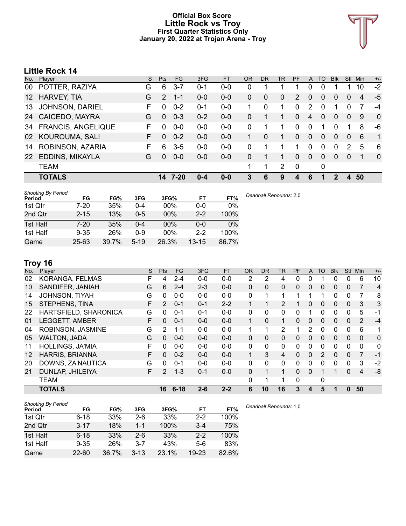### **Official Box Score Little Rock vs Troy First Quarter Statistics Only January 20, 2022 at Trojan Arena - Troy**



# **Little Rock 14**

| No.     | Player                    | S. | <b>Pts</b> | FG.     | 3FG     | <b>FT</b> | <b>OR</b> | D <sub>R</sub> | TR | <b>PF</b>     | A            | TO       | <b>Blk</b>     | Stl            | Min | $+/-$        |
|---------|---------------------------|----|------------|---------|---------|-----------|-----------|----------------|----|---------------|--------------|----------|----------------|----------------|-----|--------------|
| 00      | POTTER, RAZIYA            | G  | 6          | $3 - 7$ | $0 - 1$ | $0 - 0$   | 0         |                |    |               | $\Omega$     | 0        |                |                | 10  | $-2$         |
| $12 \,$ | <b>HARVEY, TIA</b>        | G  | 2          | $1 - 1$ | $0 - 0$ | $0-0$     | 0         | $\Omega$       | 0  | $\mathcal{P}$ | $\Omega$     | 0        | $\Omega$       | 0              | 4   | $-5$         |
| 13      | <b>JOHNSON, DARIEL</b>    | F. | $\Omega$   | $0 - 2$ | 0-1     | $0 - 0$   |           | 0              | 1  | 0             | 2            | 0        | 1              | 0              | 7   | $-4$         |
| 24      | CAICEDO, MAYRA            | G  | $\Omega$   | $0 - 3$ | $0 - 2$ | $0 - 0$   | $\Omega$  |                | 1  | 0             | 4            | $\Omega$ | $\overline{0}$ | $\overline{0}$ | 9   | $\mathbf{0}$ |
| 34      | <b>FRANCIS, ANGELIQUE</b> | F. | $\Omega$   | $0-0$   | $0-0$   | $0-0$     | $\Omega$  | 1              | 1  | 0             | $\Omega$     | 1        | $\Omega$       |                | 8   | -6           |
| 02      | KOUROUMA, SALI            | F. | $\Omega$   | $0 - 2$ | $0 - 0$ | $0 - 0$   |           | $\Omega$       | 1. | $\Omega$      | $\Omega$     | $\Omega$ | $\Omega$       | $\Omega$       | 6   | 1            |
| 14      | ROBINSON, AZARIA          | F. | 6          | $3-5$   | $0-0$   | $0-0$     | 0         | 1              | 1  | 1             | $\Omega$     | 0        | $\Omega$       | 2              | 5   | 6            |
| 22      | EDDINS, MIKAYLA           | G  | $\Omega$   | $0 - 0$ | $0 - 0$ | $0 - 0$   | $\Omega$  |                | 1  | 0             | $\mathbf{0}$ | 0        | $\Omega$       | $\overline{0}$ |     | $\mathbf{0}$ |
|         | <b>TEAM</b>               |    |            |         |         |           | 1         | 1              | 2  | 0             |              | 0        |                |                |     |              |
|         | <b>TOTALS</b>             |    | 14         | 7-20    | $0 - 4$ | $0 - 0$   | 3         | 6              | 9  | 4             | 6            | 1        | 2              | 4              | 50  |              |
|         |                           |    |            |         |         |           |           |                |    |               |              |          |                |                |     |              |

| <b>Shooting By Period</b><br>Period | FG        | FG%   | 3FG      | 3FG%  | FT        | FT%   |
|-------------------------------------|-----------|-------|----------|-------|-----------|-------|
| 1st Qtr                             | 7-20      | 35%   | 0-4      | 00%   | 0-0       | 0%    |
| 2nd Qtr                             | $2 - 15$  | 13%   | $0 - 5$  | 00%   | $2 - 2$   | 100%  |
| 1st Half                            | 7-20      | 35%   | 0-4      | 00%   | 0-0       | 0%    |
| 1st Half                            | $9 - 35$  | 26%   | $0 - 9$  | 00%   | $2 - 2$   | 100%  |
| Game                                | $25 - 63$ | 39.7% | $5 - 19$ | 26.3% | $13 - 15$ | 86.7% |

# **Troy 16**

| No. | Player                  | S  | Pts      | <b>FG</b> | 3FG     | <b>FT</b> | <b>OR</b> | <b>DR</b> | <b>TR</b>      | PF | A            | <b>TO</b>    | <b>Blk</b> | Stl          | Min            | $+/-$          |
|-----|-------------------------|----|----------|-----------|---------|-----------|-----------|-----------|----------------|----|--------------|--------------|------------|--------------|----------------|----------------|
| 02  | KORANGA, FELMAS         | F  | 4        | $2 - 4$   | $0 - 0$ | $0 - 0$   | 2         | 2         | 4              | 0  | 0            |              | 0          | 0            | 6              | 10             |
| 10  | SANDIFER, JANIAH        | G  | 6        | $2 - 4$   | $2 - 3$ | $0 - 0$   | $\Omega$  | 0         | 0              | 0  | $\mathbf{0}$ | 0            | 0          | $\mathbf{0}$ |                | $\overline{4}$ |
| 14  | JOHNSON, TIYAH          | G  | 0        | $0-0$     | $0 - 0$ | $0-0$     | 0         |           | 1              |    |              |              | 0          | 0            |                | 8              |
| 15  | STEPHENS, TINA          | F  | 2        | $0 - 1$   | $0 - 1$ | $2 - 2$   |           |           | 2              |    | 0            | 0            | 0          | $\mathbf{0}$ | 3              | 3              |
| 22  | HARTSFIELD, SHARONICA   | G  | 0        | $0 - 1$   | $0 - 1$ | $0-0$     | 0         | 0         | $\mathbf{0}$   | 0  |              | 0            | 0          | 0            | 5              | $-1$           |
| 01  | LEGGETT, AMBER          | F  | $\Omega$ | $0 - 1$   | $0 - 0$ | $0 - 0$   |           | 0         | 1              | 0  | $\mathbf{0}$ | 0            | 0          | $\Omega$     | 2              | $-4$           |
| 04  | ROBINSON, JASMINE       | G  | 2        | $1 - 1$   | $0 - 0$ | $0 - 0$   | 1         | 1         | $\overline{2}$ |    | 2            | $\Omega$     | 0          | $\Omega$     | 6              | 1              |
| 05  | <b>WALTON, JADA</b>     | G  | $\Omega$ | $0 - 0$   | $0 - 0$ | $0 - 0$   | 0         | 0         | 0              | 0  | $\mathbf{0}$ | 0            | 0          | $\Omega$     | 0              | $\mathbf 0$    |
| 11  | <b>HOLLINGS, JA'MIA</b> | F. | $\Omega$ | $0 - 0$   | $0 - 0$ | $0 - 0$   | 0         | 0         | $\mathbf{0}$   | 0  | 0            | $\Omega$     | 0          | $\Omega$     | $\Omega$       | 0              |
| 12  | <b>HARRIS, BRIANNA</b>  | F  | $\Omega$ | $0 - 2$   | $0 - 0$ | $0 - 0$   |           | 3         | 4              | 0  | $\Omega$     | 2            | $\Omega$   | $\Omega$     | $\overline{7}$ | $-1$           |
| 20  | DOWNS, ZA'NAUTICA       | G  | $\Omega$ | $0 - 1$   | $0 - 0$ | $0 - 0$   | 0         | 0         | $\mathbf{0}$   | 0  | 0            | $\Omega$     | 0          | $\Omega$     | 3              | $-2$           |
| 21  | DUNLAP, JHILEIYA        | F. | 2        | $1 - 3$   | $0 - 1$ | $0 - 0$   | 0         |           | $\mathbf{1}$   | 0  | $\Omega$     |              |            | $\Omega$     | 4              | -8             |
|     | <b>TEAM</b>             |    |          |           |         |           | 0         | 1         | 1              | 0  |              | $\mathbf{0}$ |            |              |                |                |
|     | <b>TOTALS</b>           |    | 16       | $6 - 18$  | $2 - 6$ | $2 - 2$   | 6         | 10        | 16             | 3  | 4            | 5            | 1          | 0            | 50             |                |

| <b>Shooting By Period</b> |           |       |          |       |           |       | Dead |
|---------------------------|-----------|-------|----------|-------|-----------|-------|------|
| Period                    | FG        | FG%   | 3FG      | 3FG%  | FT        | FT%   |      |
| 1st Qtr                   | $6 - 18$  | 33%   | $2-6$    | 33%   | $2-2$     | 100%  |      |
| 2nd Qtr                   | $3 - 17$  | 18%   | $1 - 1$  | 100%  | $3 - 4$   | 75%   |      |
| 1st Half                  | $6 - 18$  | 33%   | $2-6$    | 33%   | $2 - 2$   | 100%  |      |
| 1st Half                  | $9 - 35$  | 26%   | $3 - 7$  | 43%   | 5-6       | 83%   |      |
| Game                      | $22 - 60$ | 36.7% | $3 - 13$ | 23.1% | $19 - 23$ | 82.6% |      |

*Deadball Rebounds:* 1,0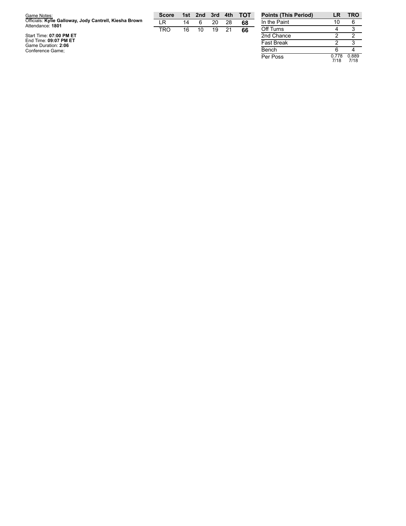| Game Notes:                                                                | <b>Score</b> |    | 1st 2nd | – 3rd | 4th | <b>TOT</b> | Points   |
|----------------------------------------------------------------------------|--------------|----|---------|-------|-----|------------|----------|
| Officials: Kylie Galloway, Jody Cantrell, Kiesha Brown<br>Attendance: 1801 | LR.          | 14 | 6       | 20    | 28  | 68         | In the P |
|                                                                            | TRO          | 16 | 10      | 19    | 21  | 66         | Off Turr |
| Start Time: 07:00 PM ET                                                    |              |    |         |       |     |            | 2nd Cha  |
| End Time: 09:07 PM ET                                                      |              |    |         |       |     |            | Fast Bre |
| Game Duration: 2:06                                                        |              |    |         |       |     |            |          |
| Conference Game;                                                           |              |    |         |       |     |            | Bench    |

| <b>Points (This Period)</b> | LR            | <b>TRO</b>    |
|-----------------------------|---------------|---------------|
| In the Paint                | 10            | հ             |
| Off Turns                   |               | 3             |
| 2nd Chance                  | 2             | 2             |
| <b>Fast Break</b>           | 2             | з             |
| Bench                       | հ             |               |
| Per Poss                    | 0.778<br>7/18 | 0.889<br>7/18 |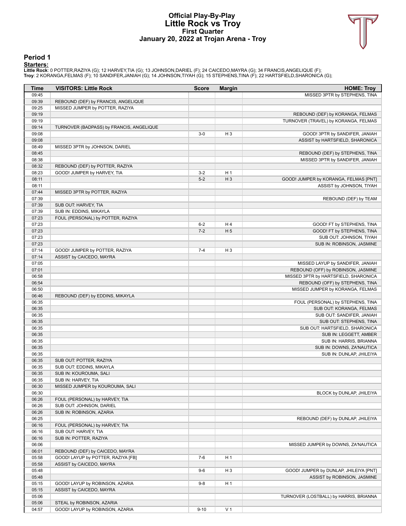### **Official Play-By-Play Little Rock vs Troy First Quarter January 20, 2022 at Trojan Arena - Troy**



#### **Period 1**

<mark>Startersː</mark><br>Little Rockː 0 POTTER,RAZIYA (G); 12 HARVEY,TIA (G); 13 JOHNSON,DARIEL (F); 24 CAICEDO,MAYRA (G); 34 FRANCIS,ANGELIQUE (F);<br>Troy: 2 KORANGA,FELMAS (F); 10 SANDIFER,JANIAH (G); 14 JOHNSON,TIYAH (G); 15 STEPHENS,

| Time           | <b>VISITORS: Little Rock</b>                        | <b>Score</b> | <b>Margin</b>  | <b>HOME: Troy</b>                      |
|----------------|-----------------------------------------------------|--------------|----------------|----------------------------------------|
| 09:45          |                                                     |              |                | MISSED 3PTR by STEPHENS, TINA          |
| 09:39          | REBOUND (DEF) by FRANCIS, ANGELIQUE                 |              |                |                                        |
| 09:25          | MISSED JUMPER by POTTER, RAZIYA                     |              |                |                                        |
| 09:19          |                                                     |              |                | REBOUND (DEF) by KORANGA, FELMAS       |
| 09:19          |                                                     |              |                | TURNOVER (TRAVEL) by KORANGA, FELMAS   |
| 09:14          | TURNOVER (BADPASS) by FRANCIS, ANGELIQUE            |              |                |                                        |
| 09:08          |                                                     | $3-0$        | $H_3$          | GOOD! 3PTR by SANDIFER, JANIAH         |
| 09:08          |                                                     |              |                | ASSIST by HARTSFIELD, SHARONICA        |
| 08:49          | MISSED 3PTR by JOHNSON, DARIEL                      |              |                |                                        |
| 08:45          |                                                     |              |                | REBOUND (DEF) by STEPHENS, TINA        |
| 08:38          |                                                     |              |                | MISSED 3PTR by SANDIFER, JANIAH        |
| 08:32          | REBOUND (DEF) by POTTER, RAZIYA                     |              |                |                                        |
| 08:23          | GOOD! JUMPER by HARVEY, TIA                         | $3 - 2$      | H <sub>1</sub> |                                        |
| 08:11          |                                                     | $5-2$        | $H_3$          | GOOD! JUMPER by KORANGA, FELMAS [PNT]  |
| 08:11          |                                                     |              |                | ASSIST by JOHNSON, TIYAH               |
| 07:44          | MISSED 3PTR by POTTER, RAZIYA                       |              |                |                                        |
| 07:39          |                                                     |              |                | REBOUND (DEF) by TEAM                  |
| 07:39          | SUB OUT: HARVEY, TIA                                |              |                |                                        |
| 07:39          | SUB IN: EDDINS, MIKAYLA                             |              |                |                                        |
| 07:23          | FOUL (PERSONAL) by POTTER, RAZIYA                   |              |                |                                        |
| 07:23          |                                                     | $6 - 2$      | H4             | GOOD! FT by STEPHENS, TINA             |
| 07:23          |                                                     | $7 - 2$      | H <sub>5</sub> | GOOD! FT by STEPHENS, TINA             |
| 07:23          |                                                     |              |                | SUB OUT: JOHNSON, TIYAH                |
| 07:23          |                                                     |              |                | SUB IN: ROBINSON, JASMINE              |
| 07:14          | GOOD! JUMPER by POTTER, RAZIYA                      | $7 - 4$      | $H_3$          |                                        |
| 07:14          | ASSIST by CAICEDO, MAYRA                            |              |                |                                        |
| 07:05          |                                                     |              |                | MISSED LAYUP by SANDIFER, JANIAH       |
| 07:01          |                                                     |              |                | REBOUND (OFF) by ROBINSON, JASMINE     |
| 06:58          |                                                     |              |                | MISSED 3PTR by HARTSFIELD, SHARONICA   |
| 06:54          |                                                     |              |                | REBOUND (OFF) by STEPHENS, TINA        |
| 06:50          |                                                     |              |                | MISSED JUMPER by KORANGA, FELMAS       |
| 06:46          | REBOUND (DEF) by EDDINS, MIKAYLA                    |              |                |                                        |
| 06:35          |                                                     |              |                | FOUL (PERSONAL) by STEPHENS, TINA      |
| 06:35          |                                                     |              |                | SUB OUT: KORANGA, FELMAS               |
| 06:35          |                                                     |              |                | SUB OUT: SANDIFER, JANIAH              |
| 06:35          |                                                     |              |                | SUB OUT: STEPHENS, TINA                |
| 06:35          |                                                     |              |                | SUB OUT: HARTSFIELD, SHARONICA         |
| 06:35          |                                                     |              |                | SUB IN: LEGGETT, AMBER                 |
| 06:35          |                                                     |              |                | SUB IN: HARRIS, BRIANNA                |
| 06:35          |                                                     |              |                | SUB IN: DOWNS, ZA'NAUTICA              |
| 06:35          |                                                     |              |                | SUB IN: DUNLAP, JHILEIYA               |
| 06:35          | SUB OUT: POTTER, RAZIYA<br>SUB OUT: EDDINS, MIKAYLA |              |                |                                        |
| 06:35          | SUB IN: KOUROUMA, SALI                              |              |                |                                        |
| 06:35<br>06:35 | SUB IN: HARVEY, TIA                                 |              |                |                                        |
| 06:30          | MISSED JUMPER by KOUROUMA, SALI                     |              |                |                                        |
| 06:30          |                                                     |              |                | BLOCK by DUNLAP, JHILEIYA              |
| 06:26          | FOUL (PERSONAL) by HARVEY, TIA                      |              |                |                                        |
| 06:26          | SUB OUT: JOHNSON, DARIEL                            |              |                |                                        |
| 06:26          | SUB IN: ROBINSON, AZARIA                            |              |                |                                        |
| 06:25          |                                                     |              |                | REBOUND (DEF) by DUNLAP, JHILEIYA      |
| 06:16          | FOUL (PERSONAL) by HARVEY, TIA                      |              |                |                                        |
| 06:16          | SUB OUT: HARVEY, TIA                                |              |                |                                        |
| 06:16          | SUB IN: POTTER, RAZIYA                              |              |                |                                        |
| 06:06          |                                                     |              |                | MISSED JUMPER by DOWNS, ZA'NAUTICA     |
| 06:01          | REBOUND (DEF) by CAICEDO, MAYRA                     |              |                |                                        |
| 05:58          | GOOD! LAYUP by POTTER, RAZIYA [FB]                  | $7-6$        | H <sub>1</sub> |                                        |
| 05:58          | ASSIST by CAICEDO, MAYRA                            |              |                |                                        |
| 05:48          |                                                     | $9-6$        | H <sub>3</sub> | GOOD! JUMPER by DUNLAP, JHILEIYA [PNT] |
| 05:48          |                                                     |              |                | ASSIST by ROBINSON, JASMINE            |
| 05:15          | GOOD! LAYUP by ROBINSON, AZARIA                     | $9-8$        | H <sub>1</sub> |                                        |
| 05:15          | ASSIST by CAICEDO, MAYRA                            |              |                |                                        |
| 05:06          |                                                     |              |                | TURNOVER (LOSTBALL) by HARRIS, BRIANNA |
| 05:06          | STEAL by ROBINSON, AZARIA                           |              |                |                                        |
| 04:57          | GOOD! LAYUP by ROBINSON, AZARIA                     | $9 - 10$     | V <sub>1</sub> |                                        |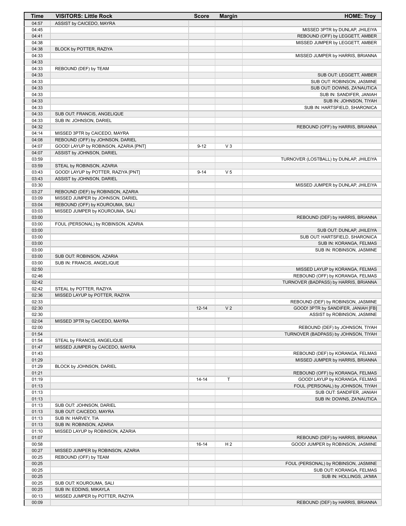| Time           | <b>VISITORS: Little Rock</b>                              | <b>Score</b> | <b>Margin</b>  | <b>HOME: Troy</b>                                                |
|----------------|-----------------------------------------------------------|--------------|----------------|------------------------------------------------------------------|
| 04:57          | ASSIST by CAICEDO, MAYRA                                  |              |                |                                                                  |
| 04:45          |                                                           |              |                | MISSED 3PTR by DUNLAP, JHILEIYA                                  |
| 04:41          |                                                           |              |                | REBOUND (OFF) by LEGGETT, AMBER                                  |
| 04:38          |                                                           |              |                | MISSED JUMPER by LEGGETT, AMBER                                  |
| 04:38<br>04:33 | BLOCK by POTTER, RAZIYA                                   |              |                | MISSED JUMPER by HARRIS, BRIANNA                                 |
| 04:33          |                                                           |              |                |                                                                  |
| 04:33          | REBOUND (DEF) by TEAM                                     |              |                |                                                                  |
| 04:33          |                                                           |              |                | SUB OUT: LEGGETT, AMBER                                          |
| 04:33          |                                                           |              |                | SUB OUT: ROBINSON, JASMINE                                       |
| 04:33          |                                                           |              |                | SUB OUT: DOWNS, ZA'NAUTICA                                       |
| 04:33          |                                                           |              |                | SUB IN: SANDIFER, JANIAH                                         |
| 04:33          |                                                           |              |                | SUB IN: JOHNSON, TIYAH                                           |
| 04:33          |                                                           |              |                | SUB IN: HARTSFIELD, SHARONICA                                    |
| 04:33<br>04:33 | SUB OUT: FRANCIS, ANGELIQUE<br>SUB IN: JOHNSON, DARIEL    |              |                |                                                                  |
| 04:32          |                                                           |              |                | REBOUND (OFF) by HARRIS, BRIANNA                                 |
| 04:14          | MISSED 3PTR by CAICEDO, MAYRA                             |              |                |                                                                  |
| 04:08          | REBOUND (OFF) by JOHNSON, DARIEL                          |              |                |                                                                  |
| 04:07          | GOOD! LAYUP by ROBINSON, AZARIA [PNT]                     | $9 - 12$     | V <sub>3</sub> |                                                                  |
| 04:07          | ASSIST by JOHNSON, DARIEL                                 |              |                |                                                                  |
| 03:59          |                                                           |              |                | TURNOVER (LOSTBALL) by DUNLAP, JHILEIYA                          |
| 03:59          | STEAL by ROBINSON, AZARIA                                 |              |                |                                                                  |
| 03:43<br>03:43 | GOOD! LAYUP by POTTER, RAZIYA [PNT]                       | $9 - 14$     | V <sub>5</sub> |                                                                  |
| 03:30          | ASSIST by JOHNSON, DARIEL                                 |              |                | MISSED JUMPER by DUNLAP, JHILEIYA                                |
| 03:27          | REBOUND (DEF) by ROBINSON, AZARIA                         |              |                |                                                                  |
| 03:09          | MISSED JUMPER by JOHNSON, DARIEL                          |              |                |                                                                  |
| 03:04          | REBOUND (OFF) by KOUROUMA, SALI                           |              |                |                                                                  |
| 03:03          | MISSED JUMPER by KOUROUMA, SALI                           |              |                |                                                                  |
| 03:00          |                                                           |              |                | REBOUND (DEF) by HARRIS, BRIANNA                                 |
| 03:00          | FOUL (PERSONAL) by ROBINSON, AZARIA                       |              |                |                                                                  |
| 03:00<br>03:00 |                                                           |              |                | SUB OUT: DUNLAP, JHILEIYA<br>SUB OUT: HARTSFIELD, SHARONICA      |
| 03:00          |                                                           |              |                | SUB IN: KORANGA, FELMAS                                          |
| 03:00          |                                                           |              |                | SUB IN: ROBINSON, JASMINE                                        |
| 03:00          | SUB OUT: ROBINSON, AZARIA                                 |              |                |                                                                  |
| 03:00          | SUB IN: FRANCIS, ANGELIQUE                                |              |                |                                                                  |
| 02:50          |                                                           |              |                | MISSED LAYUP by KORANGA, FELMAS                                  |
| 02:46          |                                                           |              |                | REBOUND (OFF) by KORANGA, FELMAS                                 |
| 02:42          |                                                           |              |                | TURNOVER (BADPASS) by HARRIS, BRIANNA                            |
| 02:42<br>02:36 | STEAL by POTTER, RAZIYA<br>MISSED LAYUP by POTTER, RAZIYA |              |                |                                                                  |
| 02:33          |                                                           |              |                | REBOUND (DEF) by ROBINSON, JASMINE                               |
| 02:30          |                                                           | $12 - 14$    | V <sub>2</sub> | GOOD! 3PTR by SANDIFER, JANIAH [FB]                              |
| 02:30          |                                                           |              |                | ASSIST by ROBINSON, JASMINE                                      |
| 02:04          | MISSED 3PTR by CAICEDO, MAYRA                             |              |                |                                                                  |
| 02:00          |                                                           |              |                | REBOUND (DEF) by JOHNSON, TIYAH                                  |
| 01:54          |                                                           |              |                | TURNOVER (BADPASS) by JOHNSON, TIYAH                             |
| 01:54          | STEAL by FRANCIS, ANGELIQUE                               |              |                |                                                                  |
| 01:47<br>01:43 | MISSED JUMPER by CAICEDO, MAYRA                           |              |                | REBOUND (DEF) by KORANGA, FELMAS                                 |
| 01:29          |                                                           |              |                | MISSED JUMPER by HARRIS, BRIANNA                                 |
| 01:29          | BLOCK by JOHNSON, DARIEL                                  |              |                |                                                                  |
| 01:21          |                                                           |              |                | REBOUND (OFF) by KORANGA, FELMAS                                 |
| 01:19          |                                                           | $14 - 14$    | T              | GOOD! LAYUP by KORANGA, FELMAS                                   |
| 01:13          |                                                           |              |                | FOUL (PERSONAL) by JOHNSON, TIYAH                                |
| 01:13          |                                                           |              |                | SUB OUT: SANDIFER, JANIAH                                        |
| 01:13          |                                                           |              |                | SUB IN: DOWNS, ZA'NAUTICA                                        |
| 01:13<br>01:13 | SUB OUT: JOHNSON, DARIEL<br>SUB OUT: CAICEDO, MAYRA       |              |                |                                                                  |
| 01:13          | SUB IN: HARVEY, TIA                                       |              |                |                                                                  |
| 01:13          | SUB IN: ROBINSON, AZARIA                                  |              |                |                                                                  |
| 01:10          | MISSED LAYUP by ROBINSON, AZARIA                          |              |                |                                                                  |
| 01:07          |                                                           |              |                | REBOUND (DEF) by HARRIS, BRIANNA                                 |
| 00:58          |                                                           | $16-14$      | H <sub>2</sub> | GOOD! JUMPER by ROBINSON, JASMINE                                |
| 00:27          | MISSED JUMPER by ROBINSON, AZARIA                         |              |                |                                                                  |
| 00:25<br>00:25 | REBOUND (OFF) by TEAM                                     |              |                |                                                                  |
| 00:25          |                                                           |              |                | FOUL (PERSONAL) by ROBINSON, JASMINE<br>SUB OUT: KORANGA, FELMAS |
| 00:25          |                                                           |              |                | SUB IN: HOLLINGS, JA'MIA                                         |
| 00:25          | SUB OUT: KOUROUMA, SALI                                   |              |                |                                                                  |
| 00:25          | SUB IN: EDDINS, MIKAYLA                                   |              |                |                                                                  |
| 00:13          | MISSED JUMPER by POTTER, RAZIYA                           |              |                |                                                                  |
| 00:09          |                                                           |              |                | REBOUND (DEF) by HARRIS, BRIANNA                                 |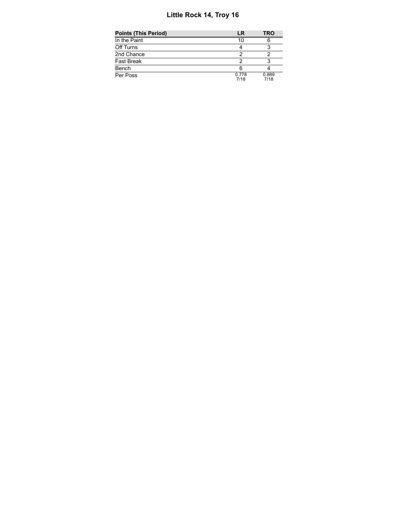# **Little Rock 14, Troy 16**

| Points (This Period) | LR            | TRO           |
|----------------------|---------------|---------------|
| In the Paint         | 10            |               |
| Off Turns            |               |               |
| 2nd Chance           |               |               |
| Fast Break           |               |               |
| Bench                |               |               |
| Per Poss             | 0.778<br>7/18 | 0.889<br>7/18 |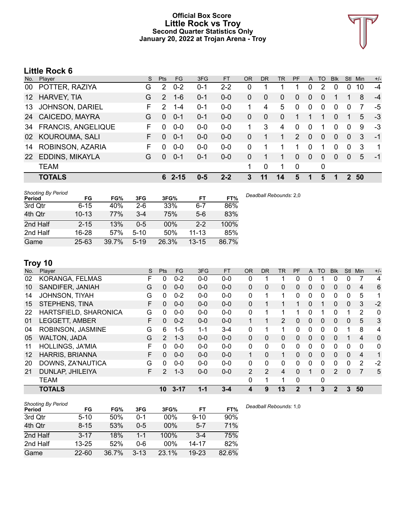### **Official Box Score Little Rock vs Troy Second Quarter Statistics Only January 20, 2022 at Trojan Arena - Troy**



# **Little Rock 6**

| No.             | Player                    | S. | <b>Pts</b> | <b>FG</b> | 3FG     | <b>FT</b> | <b>OR</b> | <b>DR</b> | TR           | PF            | A            | TO       | <b>B</b> lk | Stl      | <b>Min</b> | $+/-$ |
|-----------------|---------------------------|----|------------|-----------|---------|-----------|-----------|-----------|--------------|---------------|--------------|----------|-------------|----------|------------|-------|
| 00              | POTTER, RAZIYA            | G  | 2          | $0 - 2$   | $0 - 1$ | $2 - 2$   | 0         |           |              |               | 0            | 2        | 0           | 0        | 10         | $-4$  |
| 12 <sup>2</sup> | <b>HARVEY, TIA</b>        | G  | 2          | $1 - 6$   | $0 - 1$ | $0-0$     | 0         | 0         | 0            | 0             | $\Omega$     | 0        | 1           |          | 8          | $-4$  |
| 13              | <b>JOHNSON, DARIEL</b>    | F. | 2          | $1 - 4$   | $0 - 1$ | $0-0$     |           | 4         | 5            | 0             | $\mathbf 0$  | 0        | $\Omega$    | $\Omega$ |            | -5    |
| 24              | <b>CAICEDO, MAYRA</b>     | G  | $\Omega$   | $0 - 1$   | $0 - 1$ | $0 - 0$   | $\Omega$  | $\Omega$  | $\mathbf{0}$ |               |              | 1        | $\Omega$    |          | 5          | -3    |
| 34              | <b>FRANCIS, ANGELIQUE</b> | F  | $\Omega$   | $0-0$     | $0-0$   | $0-0$     | 1         | 3         | 4            | $\Omega$      | $\Omega$     | 1        | $\Omega$    | $\Omega$ | 9          | $-3$  |
| 02              | <b>KOUROUMA, SALI</b>     | F. | $\Omega$   | $0 - 1$   | $0 - 0$ | $0 - 0$   | 0         |           | 1            | $\mathcal{P}$ | $\Omega$     | $\Omega$ | $\Omega$    | $\Omega$ | 3          | $-1$  |
| 14              | ROBINSON, AZARIA          | F. | O          | $0 - 0$   | $0-0$   | $0 - 0$   | 0         |           | 1            | 1             | $\Omega$     | 1        | $\Omega$    | 0        | 3          | 1     |
| 22              | EDDINS, MIKAYLA           | G  | $\Omega$   | $0 - 1$   | $0 - 1$ | $0 - 0$   | $\Omega$  |           | 1            | 0             | $\mathbf{0}$ | 0        | $\Omega$    | $\Omega$ | 5          | $-1$  |
|                 | <b>TEAM</b>               |    |            |           |         |           | 1         | 0         | 1            | 0             |              | 0        |             |          |            |       |
|                 | <b>TOTALS</b>             |    | 6.         | $2 - 15$  | $0 - 5$ | $2 - 2$   | 3         | 11        | 14           | 5             |              | 5        | п           | 2        | 50         |       |
|                 |                           |    |            |           |         |           |           |           |              |               |              |          |             |          |            |       |

| <b>Shooting By Period</b><br>Period | FG        | FG%   | 3FG      | 3FG%   | FT        | FT%   | Deadball Rebounds: 2,0 |
|-------------------------------------|-----------|-------|----------|--------|-----------|-------|------------------------|
| 3rd Qtr                             | $6 - 15$  | 40%   | $2-6$    | 33%    | $6 - 7$   | 86%   |                        |
| 4th Qtr                             | $10 - 13$ | 77%   | $3 - 4$  | 75%    | $5-6$     | 83%   |                        |
| 2nd Half                            | $2 - 15$  | 13%   | $0 - 5$  | $00\%$ | $2 - 2$   | 100%  |                        |
| 2nd Half                            | 16-28     | 57%   | $5 - 10$ | 50%    | $11 - 13$ | 85%   |                        |
| Game                                | $25 - 63$ | 39.7% | $5 - 19$ | 26.3%  | $13 - 15$ | 86.7% |                        |

# **Troy 10**

| No. | Player                  | S | <b>Pts</b>     | FG.      | 3FG     | <b>FT</b> | <b>OR</b>      | DR.      | <b>TR</b>      | PF           | A            | TO       | <b>BIK</b>   | <b>Stl</b>     | Min            | $+/-$        |
|-----|-------------------------|---|----------------|----------|---------|-----------|----------------|----------|----------------|--------------|--------------|----------|--------------|----------------|----------------|--------------|
| 02  | KORANGA, FELMAS         | F | 0              | $0 - 2$  | $0 - 0$ | $0-0$     | 0              |          |                | 0            | 0            |          | 0            | 0              |                | 4            |
| 10  | SANDIFER, JANIAH        | G | 0              | $0 - 0$  | $0 - 0$ | $0 - 0$   | 0              | 0        | 0              | 0            | $\mathbf{0}$ | 0        | 0            | $\mathbf{0}$   | 4              | 6            |
| 14  | <b>JOHNSON, TIYAH</b>   | G | 0              | $0 - 2$  | $0 - 0$ | $0 - 0$   | 0              |          | 1              | 0            | 0            | 0        | 0            | $\Omega$       | 5              | 1            |
| 15  | STEPHENS, TINA          | F | 0              | $0 - 0$  | $0 - 0$ | $0 - 0$   | 0              |          | 1              |              | 0            |          | 0            | $\mathbf{0}$   | 3              | $-2$         |
| 22  | HARTSFIELD, SHARONICA   | G | $\Omega$       | $0 - 0$  | $0 - 0$ | $0 - 0$   | 0              |          | 1              |              | 0            |          | 0            |                | 2              | 0            |
| 01  | <b>LEGGETT, AMBER</b>   | F | $\Omega$       | $0 - 2$  | $0 - 0$ | $0-0$     |                |          | $\overline{2}$ | 0            | $\mathbf{0}$ | 0        | 0            | $\overline{0}$ | 5              | 3            |
| 04  | ROBINSON, JASMINE       | G | 6              | $1 - 5$  | $1 - 1$ | $3 - 4$   | 0              |          | 1              | 0            | 0            | $\Omega$ | 0            |                | 8              | 4            |
| 05  | <b>WALTON, JADA</b>     | G | $\overline{2}$ | $1 - 3$  | $0 - 0$ | $0 - 0$   | $\Omega$       | 0        | $\Omega$       | 0            | $\Omega$     | $\Omega$ | $\Omega$     |                | $\overline{4}$ | $\mathbf{0}$ |
| 11  | <b>HOLLINGS, JA'MIA</b> | F | $\Omega$       | $0 - 0$  | $0 - 0$ | $0-0$     | 0              | $\Omega$ | $\Omega$       | 0            | 0            | $\Omega$ | 0            | $\Omega$       | $\Omega$       | $\mathbf{0}$ |
| 12  | <b>HARRIS, BRIANNA</b>  | F | $\Omega$       | $0 - 0$  | $0 - 0$ | $0 - 0$   | $\mathbf{1}$   | 0        | 1              | 0            | $\mathbf{0}$ | $\Omega$ | 0            | $\Omega$       | $\overline{4}$ | 1            |
| 20  | DOWNS, ZA'NAUTICA       | G | $\Omega$       | $0 - 0$  | $0 - 0$ | $0 - 0$   | 0              | 0        | $\Omega$       | 0            | 0            | $\Omega$ | 0            | 0              | 2              | $-2$         |
| 21  | DUNLAP, JHILEIYA        | F | 2              | $1 - 3$  | $0 - 0$ | $0 - 0$   | $\overline{2}$ | 2        | 4              | 0            |              | 0        | 2            | $\Omega$       |                | 5            |
|     | <b>TEAM</b>             |   |                |          |         |           | 0              |          | 1              | 0            |              | 0        |              |                |                |              |
|     | <b>TOTALS</b>           |   | 10             | $3 - 17$ | $1 - 1$ | $3 - 4$   | 4              | 9        | 13             | $\mathbf{2}$ |              | 3        | $\mathbf{2}$ | 3              | 50             |              |

| <b>Shooting By Period</b> |           |       |          |       |           |       | Deadba |
|---------------------------|-----------|-------|----------|-------|-----------|-------|--------|
| Period                    | FG        | FG%   | 3FG      | 3FG%  | FT        | FT%   |        |
| 3rd Qtr                   | $5 - 10$  | 50%   | $0 - 1$  | 00%   | $9 - 10$  | 90%   |        |
| 4th Qtr                   | $8 - 15$  | 53%   | $0 - 5$  | 00%   | $5 - 7$   | 71%   |        |
| 2nd Half                  | $3 - 17$  | 18%   | 1-1      | 100%  | $3 - 4$   | 75%   |        |
| 2nd Half                  | $13 - 25$ | 52%   | 0-6      | 00%   | 14-17     | 82%   |        |
| Game                      | $22 - 60$ | 36.7% | $3 - 13$ | 23.1% | $19 - 23$ | 82.6% |        |

*Deadball Rebounds:* 1,0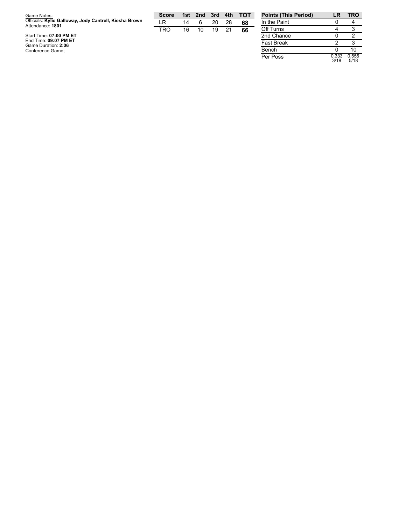| Game Notes:                                                                | <b>Score</b> | 1st l | 2nd 3rd |    | 4th | <b>TOT</b> |
|----------------------------------------------------------------------------|--------------|-------|---------|----|-----|------------|
| Officials: Kylie Galloway, Jody Cantrell, Kiesha Brown<br>Attendance: 1801 | ΙR           | 14    | 6       | 20 | 28  | 68         |
|                                                                            | TRO          | 16    | 10      | 19 | 21  | 66         |
| Start Time: 07:00 PM ET                                                    |              |       |         |    |     |            |
| End Time: 09:07 PM ET                                                      |              |       |         |    |     |            |
| Game Duration: 2:06<br>Conference Game;                                    |              |       |         |    |     |            |

| <b>Points (This Period)</b> | LR            | <b>TRO</b>    |
|-----------------------------|---------------|---------------|
| In the Paint                | 0             |               |
| Off Turns                   |               | 3             |
| 2nd Chance                  | O             | 2             |
| <b>Fast Break</b>           | 2             | з             |
| Bench                       |               | 10            |
| Per Poss                    | 0.333<br>3/18 | 0.556<br>5/18 |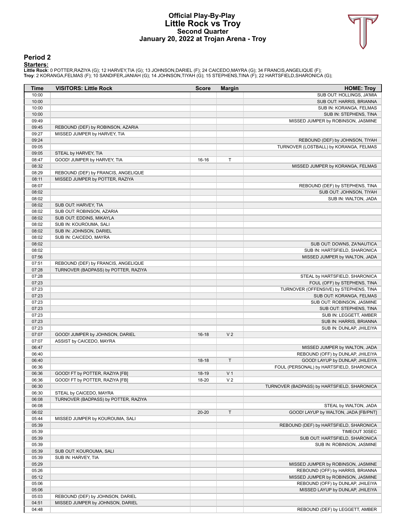### **Official Play-By-Play Little Rock vs Troy Second Quarter January 20, 2022 at Trojan Arena - Troy**



#### **Period 2**

<mark>Startersː</mark><br>Little Rockː 0 POTTER,RAZIYA (G); 12 HARVEY,TIA (G); 13 JOHNSON,DARIEL (F); 24 CAICEDO,MAYRA (G); 34 FRANCIS,ANGELIQUE (F);<br>Troy: 2 KORANGA,FELMAS (F); 10 SANDIFER,JANIAH (G); 14 JOHNSON,TIYAH (G); 15 STEPHENS,

| Time           | <b>VISITORS: Little Rock</b>                        | <b>Score</b> | <b>Margin</b>  | <b>HOME: Troy</b>                                      |
|----------------|-----------------------------------------------------|--------------|----------------|--------------------------------------------------------|
| 10:00          |                                                     |              |                | SUB OUT: HOLLINGS, JA'MIA                              |
| 10:00          |                                                     |              |                | SUB OUT: HARRIS, BRIANNA                               |
| 10:00          |                                                     |              |                | SUB IN: KORANGA, FELMAS                                |
| 10:00          |                                                     |              |                | SUB IN: STEPHENS, TINA                                 |
| 09:49          |                                                     |              |                | MISSED JUMPER by ROBINSON, JASMINE                     |
| 09:45          | REBOUND (DEF) by ROBINSON, AZARIA                   |              |                |                                                        |
| 09:27          | MISSED JUMPER by HARVEY, TIA                        |              |                |                                                        |
| 09:24          |                                                     |              |                | REBOUND (DEF) by JOHNSON, TIYAH                        |
| 09:05          |                                                     |              |                | TURNOVER (LOSTBALL) by KORANGA, FELMAS                 |
| 09:05<br>08:47 | STEAL by HARVEY, TIA<br>GOOD! JUMPER by HARVEY, TIA | 16-16        | Т              |                                                        |
| 08:32          |                                                     |              |                | MISSED JUMPER by KORANGA, FELMAS                       |
| 08:29          | REBOUND (DEF) by FRANCIS, ANGELIQUE                 |              |                |                                                        |
| 08:11          | MISSED JUMPER by POTTER, RAZIYA                     |              |                |                                                        |
| 08:07          |                                                     |              |                | REBOUND (DEF) by STEPHENS, TINA                        |
| 08:02          |                                                     |              |                | SUB OUT: JOHNSON, TIYAH                                |
| 08:02          |                                                     |              |                | SUB IN: WALTON, JADA                                   |
| 08:02          | SUB OUT: HARVEY, TIA                                |              |                |                                                        |
| 08:02          | SUB OUT: ROBINSON, AZARIA                           |              |                |                                                        |
| 08:02          | SUB OUT: EDDINS, MIKAYLA                            |              |                |                                                        |
| 08:02          | SUB IN: KOUROUMA, SALI                              |              |                |                                                        |
| 08:02          | SUB IN: JOHNSON, DARIEL                             |              |                |                                                        |
| 08:02          | SUB IN: CAICEDO, MAYRA                              |              |                |                                                        |
| 08:02          |                                                     |              |                | SUB OUT: DOWNS, ZA'NAUTICA                             |
| 08:02          |                                                     |              |                | SUB IN: HARTSFIELD, SHARONICA                          |
| 07:56          |                                                     |              |                | MISSED JUMPER by WALTON, JADA                          |
| 07:51          | REBOUND (DEF) by FRANCIS, ANGELIQUE                 |              |                |                                                        |
| 07:28          | TURNOVER (BADPASS) by POTTER, RAZIYA                |              |                |                                                        |
| 07:28          |                                                     |              |                | STEAL by HARTSFIELD, SHARONICA                         |
| 07:23          |                                                     |              |                | FOUL (OFF) by STEPHENS, TINA                           |
| 07:23          |                                                     |              |                | TURNOVER (OFFENSIVE) by STEPHENS, TINA                 |
| 07:23<br>07:23 |                                                     |              |                | SUB OUT: KORANGA, FELMAS<br>SUB OUT: ROBINSON, JASMINE |
| 07:23          |                                                     |              |                | SUB OUT: STEPHENS, TINA                                |
| 07:23          |                                                     |              |                | SUB IN: LEGGETT, AMBER                                 |
| 07:23          |                                                     |              |                | SUB IN: HARRIS, BRIANNA                                |
| 07:23          |                                                     |              |                | SUB IN: DUNLAP, JHILEIYA                               |
| 07:07          | GOOD! JUMPER by JOHNSON, DARIEL                     | $16-18$      | V <sub>2</sub> |                                                        |
| 07:07          | ASSIST by CAICEDO, MAYRA                            |              |                |                                                        |
| 06:47          |                                                     |              |                | MISSED JUMPER by WALTON, JADA                          |
| 06:40          |                                                     |              |                | REBOUND (OFF) by DUNLAP, JHILEIYA                      |
| 06:40          |                                                     | $18-18$      | $\mathsf T$    | GOOD! LAYUP by DUNLAP, JHILEIYA                        |
| 06:36          |                                                     |              |                | FOUL (PERSONAL) by HARTSFIELD, SHARONICA               |
| 06:36          | GOOD! FT by POTTER, RAZIYA [FB]                     | 18-19        | V <sub>1</sub> |                                                        |
| 06:36          | GOOD! FT by POTTER, RAZIYA [FB]                     | 18-20        | V <sub>2</sub> |                                                        |
| 06:30          |                                                     |              |                | TURNOVER (BADPASS) by HARTSFIELD, SHARONICA            |
| 06:30          | STEAL by CAICEDO, MAYRA                             |              |                |                                                        |
| 06:08          | TURNOVER (BADPASS) by POTTER, RAZIYA                |              |                |                                                        |
| 06:08          |                                                     |              |                | STEAL by WALTON, JADA                                  |
| 06:02          |                                                     | 20-20        | $\mathsf T$    | GOOD! LAYUP by WALTON, JADA [FB/PNT]                   |
| 05:44          | MISSED JUMPER by KOUROUMA, SALI                     |              |                |                                                        |
| 05:39          |                                                     |              |                | REBOUND (DEF) by HARTSFIELD, SHARONICA                 |
| 05:39          |                                                     |              |                | TIMEOUT 30SEC                                          |
| 05:39<br>05:39 |                                                     |              |                | SUB OUT: HARTSFIELD, SHARONICA                         |
| 05:39          |                                                     |              |                | SUB IN: ROBINSON, JASMINE                              |
| 05:39          | SUB OUT: KOUROUMA, SALI<br>SUB IN: HARVEY, TIA      |              |                |                                                        |
| 05:29          |                                                     |              |                | MISSED JUMPER by ROBINSON, JASMINE                     |
| 05:26          |                                                     |              |                | REBOUND (OFF) by HARRIS, BRIANNA                       |
| 05:12          |                                                     |              |                | MISSED JUMPER by ROBINSON, JASMINE                     |
| 05:06          |                                                     |              |                | REBOUND (OFF) by DUNLAP, JHILEIYA                      |
| 05:06          |                                                     |              |                | MISSED LAYUP by DUNLAP, JHILEIYA                       |
| 05:03          | REBOUND (DEF) by JOHNSON, DARIEL                    |              |                |                                                        |
| 04:51          | MISSED JUMPER by JOHNSON, DARIEL                    |              |                |                                                        |
| 04:48          |                                                     |              |                | REBOUND (DEF) by LEGGETT, AMBER                        |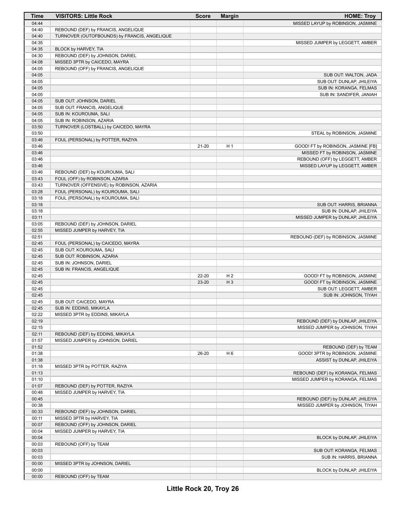| Time           | <b>VISITORS: Little Rock</b>                                 | <b>Score</b> | <b>Margin</b>  | <b>HOME: Troy</b>                  |
|----------------|--------------------------------------------------------------|--------------|----------------|------------------------------------|
| 04:44          |                                                              |              |                | MISSED LAYUP by ROBINSON, JASMINE  |
| 04:40          | REBOUND (DEF) by FRANCIS, ANGELIQUE                          |              |                |                                    |
| 04:40          | TURNOVER (OUTOFBOUNDS) by FRANCIS, ANGELIQUE                 |              |                |                                    |
| 04:35          |                                                              |              |                | MISSED JUMPER by LEGGETT, AMBER    |
| 04:35          | BLOCK by HARVEY, TIA                                         |              |                |                                    |
| 04:30          | REBOUND (DEF) by JOHNSON, DARIEL                             |              |                |                                    |
| 04:08          | MISSED 3PTR by CAICEDO, MAYRA                                |              |                |                                    |
| 04:05          | REBOUND (OFF) by FRANCIS, ANGELIQUE                          |              |                |                                    |
| 04:05          |                                                              |              |                | SUB OUT: WALTON, JADA              |
| 04:05          |                                                              |              |                | SUB OUT: DUNLAP, JHILEIYA          |
| 04:05          |                                                              |              |                | SUB IN: KORANGA, FELMAS            |
| 04:05          |                                                              |              |                | SUB IN: SANDIFER, JANIAH           |
| 04:05<br>04:05 | SUB OUT: JOHNSON, DARIEL                                     |              |                |                                    |
| 04:05          | SUB OUT: FRANCIS, ANGELIQUE<br>SUB IN: KOUROUMA, SALI        |              |                |                                    |
| 04:05          | SUB IN: ROBINSON, AZARIA                                     |              |                |                                    |
| 03:50          | TURNOVER (LOSTBALL) by CAICEDO, MAYRA                        |              |                |                                    |
| 03:50          |                                                              |              |                | STEAL by ROBINSON, JASMINE         |
| 03:46          | FOUL (PERSONAL) by POTTER, RAZIYA                            |              |                |                                    |
| 03:46          |                                                              | $21 - 20$    | H <sub>1</sub> | GOOD! FT by ROBINSON, JASMINE [FB] |
| 03:46          |                                                              |              |                | MISSED FT by ROBINSON, JASMINE     |
| 03:46          |                                                              |              |                | REBOUND (OFF) by LEGGETT, AMBER    |
| 03:46          |                                                              |              |                | MISSED LAYUP by LEGGETT, AMBER     |
| 03:46          | REBOUND (DEF) by KOUROUMA, SALI                              |              |                |                                    |
| 03:43          | FOUL (OFF) by ROBINSON, AZARIA                               |              |                |                                    |
| 03:43          | TURNOVER (OFFENSIVE) by ROBINSON, AZARIA                     |              |                |                                    |
| 03:28          | FOUL (PERSONAL) by KOUROUMA, SALI                            |              |                |                                    |
| 03:18          | FOUL (PERSONAL) by KOUROUMA, SALI                            |              |                |                                    |
| 03:18          |                                                              |              |                | SUB OUT: HARRIS, BRIANNA           |
| 03:18          |                                                              |              |                | SUB IN: DUNLAP, JHILEIYA           |
| 03:11          |                                                              |              |                | MISSED JUMPER by DUNLAP, JHILEIYA  |
| 03:05          | REBOUND (DEF) by JOHNSON, DARIEL                             |              |                |                                    |
| 02:55          | MISSED JUMPER by HARVEY, TIA                                 |              |                |                                    |
| 02:51          |                                                              |              |                | REBOUND (DEF) by ROBINSON, JASMINE |
| 02:45<br>02:45 | FOUL (PERSONAL) by CAICEDO, MAYRA<br>SUB OUT: KOUROUMA, SALI |              |                |                                    |
| 02:45          | SUB OUT: ROBINSON, AZARIA                                    |              |                |                                    |
| 02:45          | SUB IN: JOHNSON, DARIEL                                      |              |                |                                    |
| 02:45          | SUB IN: FRANCIS, ANGELIQUE                                   |              |                |                                    |
| 02:45          |                                                              | 22-20        | H <sub>2</sub> | GOOD! FT by ROBINSON, JASMINE      |
| 02:45          |                                                              | 23-20        | $H_3$          | GOOD! FT by ROBINSON, JASMINE      |
| 02:45          |                                                              |              |                | SUB OUT: LEGGETT, AMBER            |
| 02:45          |                                                              |              |                | SUB IN: JOHNSON, TIYAH             |
| 02:45          | SUB OUT: CAICEDO, MAYRA                                      |              |                |                                    |
| 02:45          | SUB IN: EDDINS, MIKAYLA                                      |              |                |                                    |
| 02:22          | MISSED 3PTR by EDDINS, MIKAYLA                               |              |                |                                    |
| 02:19          |                                                              |              |                | REBOUND (DEF) by DUNLAP, JHILEIYA  |
| 02:15          |                                                              |              |                | MISSED JUMPER by JOHNSON, TIYAH    |
| 02:11          | REBOUND (DEF) by EDDINS, MIKAYLA                             |              |                |                                    |
| 01:57          | MISSED JUMPER by JOHNSON, DARIEL                             |              |                |                                    |
| 01:52          |                                                              |              |                | REBOUND (DEF) by TEAM              |
| 01:38          |                                                              | 26-20        | H <sub>6</sub> | GOOD! 3PTR by ROBINSON, JASMINE    |
| 01:38<br>01:18 |                                                              |              |                | ASSIST by DUNLAP, JHILEIYA         |
| 01:13          | MISSED 3PTR by POTTER, RAZIYA                                |              |                | REBOUND (DEF) by KORANGA, FELMAS   |
| 01:10          |                                                              |              |                | MISSED JUMPER by KORANGA, FELMAS   |
| 01:07          | REBOUND (DEF) by POTTER, RAZIYA                              |              |                |                                    |
| 00:48          | MISSED JUMPER by HARVEY, TIA                                 |              |                |                                    |
| 00:45          |                                                              |              |                | REBOUND (DEF) by DUNLAP, JHILEIYA  |
| 00:38          |                                                              |              |                | MISSED JUMPER by JOHNSON, TIYAH    |
| 00:33          | REBOUND (DEF) by JOHNSON, DARIEL                             |              |                |                                    |
| 00:11          | MISSED 3PTR by HARVEY, TIA                                   |              |                |                                    |
| 00:07          | REBOUND (OFF) by JOHNSON, DARIEL                             |              |                |                                    |
| 00:04          | MISSED JUMPER by HARVEY, TIA                                 |              |                |                                    |
| 00:04          |                                                              |              |                | BLOCK by DUNLAP, JHILEIYA          |
| 00:03          | REBOUND (OFF) by TEAM                                        |              |                |                                    |
| 00:03          |                                                              |              |                | SUB OUT: KORANGA, FELMAS           |
| 00:03          |                                                              |              |                | SUB IN: HARRIS, BRIANNA            |
| 00:00          | MISSED 3PTR by JOHNSON, DARIEL                               |              |                |                                    |
| 00:00          |                                                              |              |                | BLOCK by DUNLAP, JHILEIYA          |
| 00:00          | REBOUND (OFF) by TEAM                                        |              |                |                                    |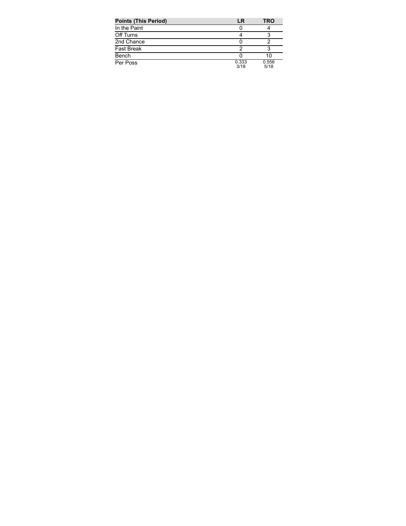| <b>Points (This Period)</b> | LR            | TRO           |
|-----------------------------|---------------|---------------|
| In the Paint                |               |               |
| Off Turns                   |               |               |
| 2nd Chance                  |               |               |
| <b>Fast Break</b>           |               |               |
| Bench                       |               | 10            |
| Per Poss                    | 0.333<br>3/18 | 0.556<br>5/18 |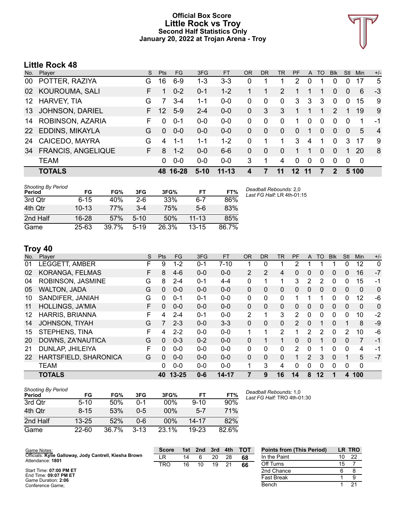### **Official Box Score Little Rock vs Troy Second Half Statistics Only January 20, 2022 at Trojan Arena - Troy**



# **Little Rock 48**

| No. | Player                    | S. | Pts      | FG       | 3FG     | <b>FT</b> | <b>OR</b> | <b>DR</b> | TR             | <b>PF</b> | $\mathsf{A}$ | TO       | <b>BIK</b>   | Stl            | <b>Min</b> | $+/-$          |
|-----|---------------------------|----|----------|----------|---------|-----------|-----------|-----------|----------------|-----------|--------------|----------|--------------|----------------|------------|----------------|
| 00  | POTTER, RAZIYA            | G  | 16       | $6-9$    | $1 - 3$ | $3-3$     | 0         |           | 1              | 2         | 0            |          | 0            | 0              | 17         | 5              |
| 02  | KOUROUMA, SALI            | F. |          | $0 - 2$  | $0 - 1$ | $1 - 2$   |           |           | $\overline{2}$ |           |              |          | 0            | $\overline{0}$ | 6          | -3             |
| 12  | <b>HARVEY, TIA</b>        | G  |          | 3-4      | 1-1     | $0 - 0$   | 0         | 0         | 0              | 3         | 3            | 3        | 0            | 0              | 15         | 9              |
| 13  | <b>JOHNSON, DARIEL</b>    | F. | 12       | $5-9$    | $2 - 4$ | $0 - 0$   | $\Omega$  | 3         | 3              | 1         |              | 1        | 2            |                | 19         | 9              |
| 14  | ROBINSON, AZARIA          | F  | $\Omega$ | $0 - 1$  | $0 - 0$ | $0-0$     | 0         | $\Omega$  | $\Omega$       | 1         | $\Omega$     | $\Omega$ | $\Omega$     | $\Omega$       | 1          | $-1$           |
| 22  | EDDINS, MIKAYLA           | G  | $\Omega$ | $0 - 0$  | $0 - 0$ | $0 - 0$   | 0         | $\Omega$  | $\Omega$       | 0         |              |          | $\Omega$     | $\overline{0}$ | 5          | $\overline{4}$ |
| 24  | CAICEDO, MAYRA            | G  | 4        | $1 - 1$  | $1 - 1$ | $1 - 2$   | 0         | 1         | 1              | 3         | 4            | 1        | $\Omega$     | 3              | 17         | 9              |
| 34  | <b>FRANCIS, ANGELIQUE</b> | F. | 8        | $1 - 2$  | $0 - 0$ | $6 - 6$   | 0         | $\Omega$  | $\Omega$       | 1         |              | $\Omega$ | $\Omega$     |                | 20         | 8              |
|     | <b>TEAM</b>               |    | 0        | $0 - 0$  | $0-0$   | $0 - 0$   | 3         | 1         | 4              | $\Omega$  | 0            | $\Omega$ | 0            | $\Omega$       | 0          |                |
|     | <b>TOTALS</b>             |    |          | 48 16-28 | $5-10$  | $11 - 13$ |           |           | 11             | 12        | 11           |          | $\mathbf{c}$ |                | 5 100      |                |

| <b>Shooting By Period</b><br>Period | FG        | FG%   | 3FG    | 3FG%  | FT        | FT%   | Deadball Rebounds: 2,0<br>Last FG Half: LR 4th-01:15 |
|-------------------------------------|-----------|-------|--------|-------|-----------|-------|------------------------------------------------------|
| 3rd Qtr                             | $6 - 15$  | 40%   | $2-6$  | 33%   | $6 - 7$   | 86%   |                                                      |
| 4th Otr                             | $10 - 13$ | 77%   | $3-4$  | 75%   | $5-6$     | 83%   |                                                      |
| 2nd Half                            | $16 - 28$ | 57%   | $5-10$ | 50%   | $11 - 13$ | 85%   |                                                      |
| Game                                | $25 - 63$ | 39.7% | $5-19$ | 26.3% | $13 - 15$ | 86.7% |                                                      |

## **Troy 40**

| No. | Player                  | S  | <b>Pts</b>     | <b>FG</b> | 3FG     | FT        | <b>OR</b>      | D <sub>R</sub> | TR             | <b>PF</b>     | A        | TO | <b>B</b> lk | Stl            | Min      | $+/-$ |
|-----|-------------------------|----|----------------|-----------|---------|-----------|----------------|----------------|----------------|---------------|----------|----|-------------|----------------|----------|-------|
| 01  | LEGGETT, AMBER          | F  | 9              | $1 - 2$   | $0 - 1$ | $7 - 10$  |                | 0              |                | 2             |          |    |             | 0              | 12       | 0     |
| 02  | KORANGA, FELMAS         | F  | 8              | $4-6$     | $0 - 0$ | $0 - 0$   | $\overline{2}$ | 2              | 4              | 0             | 0        | 0  | 0           | 0              | 16       | $-7$  |
| 04  | ROBINSON, JASMINE       | G  | 8              | $2 - 4$   | $0 - 1$ | $4 - 4$   | 0              | 1              | 1              | 3             | 2        | 2  | 0           | 0              | 15       | -1    |
| 05  | <b>WALTON, JADA</b>     | G  | 0              | $0 - 0$   | $0 - 0$ | $0 - 0$   | $\Omega$       | 0              | $\mathbf{0}$   | $\Omega$      | 0        | 0  | $\Omega$    | $\mathbf{0}$   | $\Omega$ | 0     |
| 10  | SANDIFER, JANIAH        | G  | 0              | $0 - 1$   | $0 - 1$ | $0 - 0$   | 0              | 0              | $\mathbf{0}$   |               |          |    | 0           | 0              | 12       | -6    |
| 11  | <b>HOLLINGS, JA'MIA</b> | F. | 0              | $0 - 0$   | $0 - 0$ | $0 - 0$   | $\Omega$       | $\Omega$       | $\mathbf{0}$   | $\Omega$      | 0        | 0  | $\Omega$    | 0              | $\Omega$ | 0     |
| 12  | <b>HARRIS, BRIANNA</b>  | F. | 4              | $2 - 4$   | $0 - 1$ | $0 - 0$   | $\overline{2}$ | 1              | 3              | 2             | 0        | 0  | $\mathbf 0$ | 0              | 10       | $-2$  |
| 14  | JOHNSON, TIYAH          | G  | $\overline{7}$ | $2 - 3$   | $0 - 0$ | $3 - 3$   | $\Omega$       | $\Omega$       | $\mathbf{0}$   | $\mathcal{P}$ | 0        | 1  | $\Omega$    | 1              | 8        | $-9$  |
| 15  | STEPHENS, TINA          | F. | 4              | $2 - 2$   | $0 - 0$ | $0 - 0$   | 1              | 1              | $\overline{2}$ |               | 2        | 2  | $\mathbf 0$ | $\overline{2}$ | 10       | -6    |
| 20  | DOWNS, ZA'NAUTICA       | G  | 0              | $0 - 3$   | $0 - 2$ | $0 - 0$   | $\Omega$       | 1              | $\mathbf{1}$   | $\Omega$      | $\Omega$ | 1  | 0           | 0              | 7        | $-1$  |
| 21  | DUNLAP, JHILEIYA        | F. | $\Omega$       | $0 - 0$   | $0 - 0$ | $0 - 0$   | $\Omega$       | 0              | 0              | 2             | 0        |    | 0           | 0              | 4        | $-1$  |
| 22  | HARTSFIELD, SHARONICA   | G  | 0              | $0 - 0$   | $0 - 0$ | $0 - 0$   | $\Omega$       | 0              | $\Omega$       | 1             | 2        | 3  | $\Omega$    | 1              | 5        | $-7$  |
|     | <b>TEAM</b>             |    | 0              | $0 - 0$   | $0 - 0$ | $0 - 0$   | 1              | 3              | 4              | 0             | 0        | 0  | $\Omega$    | 0              | 0        |       |
|     | <b>TOTALS</b>           |    | 40             | $13 - 25$ | $0 - 6$ | $14 - 17$ | 7              | 9              | 16             | 14            | 8        | 12 |             | 4              | 100      |       |

| Shooting By Period<br>Period | FG        | FG%   | 3FG      | 3FG%   | FТ        | FT%   |
|------------------------------|-----------|-------|----------|--------|-----------|-------|
| 3rd Otr                      | $5 - 10$  | 50%   | ი-1      | $00\%$ | $9 - 10$  | 90%   |
| 4th Otr                      | $8 - 15$  | 53%   | $0 - 5$  | $00\%$ | $5 - 7$   | 71%   |
| 2nd Half                     | $13 - 25$ | 52%   | Ი-Ნ      | $00\%$ | $14 - 17$ | 82%   |
| Game                         | $22 - 60$ | 36.7% | $3 - 13$ | 23.1%  | $19-23$   | 82.6% |

*Deadball Rebounds:* 1,0 *Last FG Half:* TRO 4th-01:30

| Game Notes:                                                                | <b>Score</b> | 1st | 2nd | 3rd | 4th | <b>TOT</b> | <b>Points from (This Period)</b> |    | LR TRO |
|----------------------------------------------------------------------------|--------------|-----|-----|-----|-----|------------|----------------------------------|----|--------|
| Officials: Kylie Galloway, Jody Cantrell, Kiesha Brown<br>Attendance: 1801 | LR           | 14  |     | 20  | 28  | 68         | In the Paint                     | 10 | 22     |
|                                                                            | <b>TRO</b>   | 16  | 10  | 19  | 21  | 66         | Off Turns                        | 15 |        |
| Start Time: 07:00 PM ET                                                    |              |     |     |     |     |            | 2nd Chance                       |    |        |
| End Time: 09:07 PM ET<br>Game Duration: 2:06                               |              |     |     |     |     |            | <b>Fast Break</b>                |    |        |
| Conference Game;                                                           |              |     |     |     |     |            | Bench                            |    | 21     |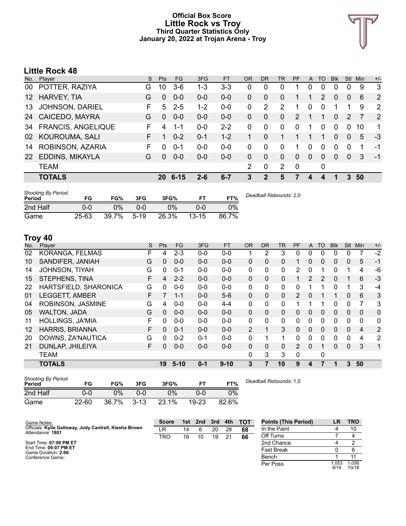### **Official Box Score Little Rock vs Troy Third Quarter Statistics Only January 20, 2022 at Trojan Arena - Troy**



# **Little Rock 48**

| No.             | Player                    | S. | <b>Pts</b>   | FG.      | 3FG     | <b>FT</b> | 0R | <b>DR</b> | <b>TR</b>      | <b>PF</b>     | A            | TO | <b>Blk</b> | Stl      | Min | $+/-$         |
|-----------------|---------------------------|----|--------------|----------|---------|-----------|----|-----------|----------------|---------------|--------------|----|------------|----------|-----|---------------|
| 00              | POTTER, RAZIYA            | G  | 10           | $3-6$    | $1 - 3$ | 3-3       | 0  | 0         | 0              |               | 0            | 0  | 0          | $\Omega$ | 9   | 3             |
| 12 <sup>°</sup> | HARVEY, TIA               | G  | 0            | $0 - 0$  | $0-0$   | $0-0$     | 0  | 0         | $\Omega$       |               |              | 2  | 0          | 0        | 6   | 2             |
| 13              | <b>JOHNSON, DARIEL</b>    | F. | 5            | $2 - 5$  | $1 - 2$ | $0 - 0$   | 0  | 2         | $\mathcal{P}$  |               | $\Omega$     | 0  |            |          | 9   | 2             |
| 24              | CAICEDO, MAYRA            | G  | $\Omega$     | $0 - 0$  | $0 - 0$ | $0 - 0$   | 0  | 0         | $\Omega$       | $\mathcal{P}$ |              | 1  | 0          | 2        | 7   | $\mathcal{P}$ |
| 34              | <b>FRANCIS, ANGELIQUE</b> | F  | 4            | $1 - 1$  | $0-0$   | $2 - 2$   | 0  | $\Omega$  | 0              | 0             | 1            | 0  | $\Omega$   | $\Omega$ | 10  | 1             |
| 02              | KOUROUMA, SALI            | F. |              | $0 - 2$  | $0 - 1$ | $1 - 2$   |    | $\Omega$  |                |               |              |    | 0          | $\Omega$ | 5   | -3            |
| 14              | ROBINSON, AZARIA          | F. | <sup>0</sup> | $0 - 1$  | $0-0$   | $0-0$     | 0  | $\Omega$  | $\Omega$       | 1             | $\Omega$     | 0  | 0          | $\Omega$ | 1   | -1            |
| 22              | EDDINS, MIKAYLA           | G  | <sup>0</sup> | $0 - 0$  | $0 - 0$ | $0 - 0$   | 0  | $\Omega$  | $\Omega$       | $\Omega$      | $\mathbf{0}$ | 0  | 0          | $\Omega$ | 3   | $-1$          |
|                 | <b>TEAM</b>               |    |              |          |         |           | 2  | 0         | $\overline{2}$ | $\mathbf 0$   |              | 0  |            |          |     |               |
|                 | <b>TOTALS</b>             |    | 20           | $6 - 15$ | $2 - 6$ | $6 - 7$   | 3  | 2         | 5              | 7             | 4            | 4  |            | 3        | 50  |               |
|                 |                           |    |              |          |         |           |    |           |                |               |              |    |            |          |     |               |

| <b>Shooting By Period</b><br>Period | FG        | FG%   | 3FG     | 3FG%  |           | FT%   | Deadball Rebounds: 2,0 |
|-------------------------------------|-----------|-------|---------|-------|-----------|-------|------------------------|
| 2nd Half                            | 0-0       | 0%    | $0 - 0$ | $0\%$ | 0-0       | 0%    |                        |
| Game                                | $25 - 63$ | 39.7% | $5-19$  | 26.3% | $13 - 15$ | 86.7% |                        |

# **Troy 40**

| No. | Player                  | S | <b>Pts</b> | <b>FG</b> | 3FG     | <b>FT</b> | <b>OR</b>      | DR. | TR           | PF             | A            | TO       | <b>B</b> lk | <b>Stl</b> | Min            | $+/-$        |
|-----|-------------------------|---|------------|-----------|---------|-----------|----------------|-----|--------------|----------------|--------------|----------|-------------|------------|----------------|--------------|
| 02  | KORANGA, FELMAS         | F | 4          | $2 - 3$   | $0 - 0$ | $0 - 0$   |                | 2   | 3            | 0              | 0            | 0        | 0           | 0          |                | $-2$         |
| 10  | SANDIFER, JANIAH        | G | 0          | $0-0$     | $0 - 0$ | $0 - 0$   | 0              | 0   | 0            |                | 0            | 0        | 0           | 0          | 5              | $-1$         |
| 14  | JOHNSON, TIYAH          | G | 0          | $0 - 1$   | $0 - 0$ | $0 - 0$   | 0              | 0   | $\mathbf{0}$ | 2              | $\mathbf{0}$ |          | 0           |            | 4              | -6           |
| 15  | STEPHENS, TINA          | F | 4          | $2 - 2$   | $0 - 0$ | $0 - 0$   | 0              | 0   | $\mathbf{0}$ |                | 2            | 2        | 0           |            | 6              | $-3$         |
| 22  | HARTSFIELD, SHARONICA   | G | 0          | $0 - 0$   | $0 - 0$ | $0 - 0$   | 0              | 0   | $\mathbf{0}$ | 0              |              |          | 0           |            | 3              | $-4$         |
| 01  | <b>LEGGETT, AMBER</b>   | F |            | $1 - 1$   | $0 - 0$ | $5-6$     | $\Omega$       | 0   | $\Omega$     | $\mathcal{P}$  | $\mathbf{0}$ |          |             | 0          | 6              | 3            |
| 04  | ROBINSON, JASMINE       | G | 4          | $0 - 0$   | $0 - 0$ | $4 - 4$   | 0              | 0   | $\mathbf{0}$ |                |              | 1        | 0           | 0          | 7              | 3            |
| 05  | <b>WALTON, JADA</b>     | G | 0          | $0 - 0$   | $0 - 0$ | $0 - 0$   | $\Omega$       | 0   | $\mathbf{0}$ | 0              | $\Omega$     | $\Omega$ | 0           | 0          | $\mathbf{0}$   | $\Omega$     |
| 11  | <b>HOLLINGS, JA'MIA</b> | F | 0          | $0 - 0$   | $0 - 0$ | $0 - 0$   | 0              | 0   | $\Omega$     | 0              | $\Omega$     | 0        | 0           | 0          | $\Omega$       | 0            |
| 12  | <b>HARRIS, BRIANNA</b>  | F | $\Omega$   | $0 - 1$   | $0 - 0$ | $0 - 0$   | $\overline{2}$ | 1   | 3            | 0              | $\Omega$     | $\Omega$ | 0           | 0          | $\overline{4}$ | 2            |
| 20  | DOWNS, ZA'NAUTICA       | G | 0          | $0 - 2$   | $0 - 1$ | $0 - 0$   | 0              |     | 1            | 0              | $\Omega$     | 0        | 0           | 0          | 4              | 2            |
| 21  | DUNLAP, JHILEIYA        | F | 0          | $0-0$     | $0 - 0$ | $0 - 0$   | 0              | 0   | $\Omega$     | $\overline{2}$ | $\Omega$     | 1        | $\Omega$    | $\Omega$   | 3              | $\mathbf{1}$ |
|     | <b>TEAM</b>             |   |            |           |         |           | 0              | 3   | 3            | 0              |              | 0        |             |            |                |              |
|     | <b>TOTALS</b>           |   | 19         | $5-10$    | $0 - 1$ | $9 - 10$  | 3              |     | 10           | 9              | 4            |          |             | 3          | 50             |              |

| <b>Shooting By Period</b><br>Period | FG        | FG%   | 3FG      | 3FG%  |       | FT%   | Deadball Rebounds: 1,0 |
|-------------------------------------|-----------|-------|----------|-------|-------|-------|------------------------|
| 2nd Half                            | 0-0       | 0%    | $0 - 0$  | $0\%$ | ი-ი   | 0%    |                        |
| Game                                | $22 - 60$ | 36.7% | $3 - 13$ | 23.1% | 19-23 | 82.6% |                        |

| Game Notes:                                                                | <b>Score</b> | 1st | 2nd | 3rd | 4th | <b>TOT</b> | <b>Points (This Period)</b> |               | <b>TRO</b>    |
|----------------------------------------------------------------------------|--------------|-----|-----|-----|-----|------------|-----------------------------|---------------|---------------|
| Officials: Kylie Galloway, Jody Cantrell, Kiesha Brown<br>Attendance: 1801 | LR           | 14  |     | 20  | 28  | 68         | In the Paint                |               |               |
|                                                                            | <b>TRO</b>   | 16  | 10  | 19  | 21  | 66         | Off Turns                   |               |               |
| Start Time: 07:00 PM ET                                                    |              |     |     |     |     |            | 2nd Chance                  |               |               |
| End Time: 09:07 PM ET<br>Game Duration: 2:06                               |              |     |     |     |     |            | <b>Fast Break</b>           |               |               |
| Conference Game:                                                           |              |     |     |     |     |            | Bench                       |               |               |
|                                                                            |              |     |     |     |     |            | Per Poss                    | 1.053<br>9/19 | .056<br>10/18 |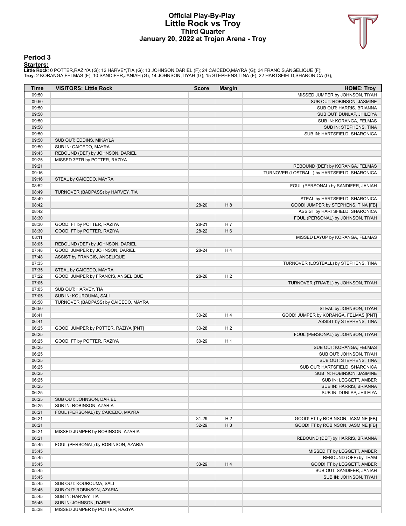### **Official Play-By-Play Little Rock vs Troy Third Quarter January 20, 2022 at Trojan Arena - Troy**



#### **Period 3**

<mark>Startersː</mark><br>Little Rockː 0 POTTER,RAZIYA (G); 12 HARVEY,TIA (G); 13 JOHNSON,DARIEL (F); 24 CAICEDO,MAYRA (G); 34 FRANCIS,ANGELIQUE (F);<br>Troy: 2 KORANGA,FELMAS (F); 10 SANDIFER,JANIAH (G); 14 JOHNSON,TIYAH (G); 15 STEPHENS,

| Time           | <b>VISITORS: Little Rock</b>                                  | <b>Score</b> | <b>Margin</b>  | <b>HOME: Troy</b>                                                     |
|----------------|---------------------------------------------------------------|--------------|----------------|-----------------------------------------------------------------------|
| 09:50          |                                                               |              |                | MISSED JUMPER by JOHNSON, TIYAH                                       |
| 09:50          |                                                               |              |                | SUB OUT: ROBINSON, JASMINE                                            |
| 09:50          |                                                               |              |                | SUB OUT: HARRIS, BRIANNA                                              |
| 09:50          |                                                               |              |                | SUB OUT: DUNLAP, JHILEIYA                                             |
| 09:50          |                                                               |              |                | SUB IN: KORANGA, FELMAS                                               |
| 09:50          |                                                               |              |                | SUB IN: STEPHENS, TINA                                                |
| 09:50          |                                                               |              |                | SUB IN: HARTSFIELD, SHARONICA                                         |
| 09:50          | SUB OUT: EDDINS, MIKAYLA                                      |              |                |                                                                       |
| 09:50          | SUB IN: CAICEDO, MAYRA                                        |              |                |                                                                       |
| 09:43          | REBOUND (DEF) by JOHNSON, DARIEL                              |              |                |                                                                       |
| 09:25          | MISSED 3PTR by POTTER, RAZIYA                                 |              |                |                                                                       |
| 09:21          |                                                               |              |                | REBOUND (DEF) by KORANGA, FELMAS                                      |
| 09:16          |                                                               |              |                | TURNOVER (LOSTBALL) by HARTSFIELD, SHARONICA                          |
| 09:16          | STEAL by CAICEDO, MAYRA                                       |              |                |                                                                       |
| 08:52          |                                                               |              |                | FOUL (PERSONAL) by SANDIFER, JANIAH                                   |
| 08:49<br>08:49 | TURNOVER (BADPASS) by HARVEY, TIA                             |              |                |                                                                       |
| 08:42          |                                                               | 28-20        | H 8            | STEAL by HARTSFIELD, SHARONICA<br>GOOD! JUMPER by STEPHENS, TINA [FB] |
| 08:42          |                                                               |              |                | ASSIST by HARTSFIELD, SHARONICA                                       |
| 08:30          |                                                               |              |                | FOUL (PERSONAL) by JOHNSON, TIYAH                                     |
| 08:30          | GOOD! FT by POTTER, RAZIYA                                    | 28-21        | H <sub>7</sub> |                                                                       |
| 08:30          | GOOD! FT by POTTER, RAZIYA                                    | 28-22        | H <sub>6</sub> |                                                                       |
| 08:11          |                                                               |              |                | MISSED LAYUP by KORANGA, FELMAS                                       |
| 08:05          | REBOUND (DEF) by JOHNSON, DARIEL                              |              |                |                                                                       |
| 07:48          | GOOD! JUMPER by JOHNSON, DARIEL                               | 28-24        | H4             |                                                                       |
| 07:48          | ASSIST by FRANCIS, ANGELIQUE                                  |              |                |                                                                       |
| 07:35          |                                                               |              |                | TURNOVER (LOSTBALL) by STEPHENS, TINA                                 |
| 07:35          | STEAL by CAICEDO, MAYRA                                       |              |                |                                                                       |
| 07:22          | GOOD! JUMPER by FRANCIS, ANGELIQUE                            | 28-26        | H <sub>2</sub> |                                                                       |
| 07:05          |                                                               |              |                | TURNOVER (TRAVEL) by JOHNSON, TIYAH                                   |
| 07:05          | SUB OUT: HARVEY, TIA                                          |              |                |                                                                       |
| 07:05          | SUB IN: KOUROUMA, SALI                                        |              |                |                                                                       |
| 06:50          | TURNOVER (BADPASS) by CAICEDO, MAYRA                          |              |                |                                                                       |
| 06:50          |                                                               |              |                | STEAL by JOHNSON, TIYAH                                               |
| 06:41          |                                                               | 30-26        | H4             | GOOD! JUMPER by KORANGA, FELMAS [PNT]                                 |
| 06:41          |                                                               |              |                | ASSIST by STEPHENS, TINA                                              |
| 06:25          | GOOD! JUMPER by POTTER, RAZIYA [PNT]                          | 30-28        | H <sub>2</sub> |                                                                       |
| 06:25          |                                                               |              |                | FOUL (PERSONAL) by JOHNSON, TIYAH                                     |
| 06:25          | GOOD! FT by POTTER, RAZIYA                                    | 30-29        | H <sub>1</sub> |                                                                       |
| 06:25          |                                                               |              |                | SUB OUT: KORANGA, FELMAS                                              |
| 06:25          |                                                               |              |                | SUB OUT: JOHNSON, TIYAH                                               |
| 06:25          |                                                               |              |                | SUB OUT: STEPHENS, TINA                                               |
| 06:25          |                                                               |              |                | SUB OUT: HARTSFIELD, SHARONICA                                        |
| 06:25          |                                                               |              |                | SUB IN: ROBINSON, JASMINE                                             |
| 06:25          |                                                               |              |                | SUB IN: LEGGETT, AMBER                                                |
| 06:25          |                                                               |              |                | SUB IN: HARRIS, BRIANNA                                               |
| 06:25          |                                                               |              |                | SUB IN: DUNLAP, JHILEIYA                                              |
| 06:25          | SUB OUT: JOHNSON, DARIEL                                      |              |                |                                                                       |
| 06:25<br>06:21 | SUB IN: ROBINSON, AZARIA<br>FOUL (PERSONAL) by CAICEDO, MAYRA |              |                |                                                                       |
| 06:21          |                                                               | 31-29        | H <sub>2</sub> | GOOD! FT by ROBINSON, JASMINE [FB]                                    |
| 06:21          |                                                               | 32-29        | $H_3$          | GOOD! FT by ROBINSON, JASMINE [FB]                                    |
| 06:21          | MISSED JUMPER by ROBINSON, AZARIA                             |              |                |                                                                       |
| 06:21          |                                                               |              |                | REBOUND (DEF) by HARRIS, BRIANNA                                      |
| 05:45          | FOUL (PERSONAL) by ROBINSON, AZARIA                           |              |                |                                                                       |
| 05:45          |                                                               |              |                | MISSED FT by LEGGETT, AMBER                                           |
| 05:45          |                                                               |              |                | REBOUND (OFF) by TEAM                                                 |
| 05:45          |                                                               | 33-29        | H4             | GOOD! FT by LEGGETT, AMBER                                            |
| 05:45          |                                                               |              |                | SUB OUT: SANDIFER, JANIAH                                             |
| 05:45          |                                                               |              |                | SUB IN: JOHNSON, TIYAH                                                |
| 05:45          | SUB OUT: KOUROUMA, SALI                                       |              |                |                                                                       |
| 05:45          | SUB OUT: ROBINSON, AZARIA                                     |              |                |                                                                       |
| 05:45          | SUB IN: HARVEY, TIA                                           |              |                |                                                                       |
| 05:45          | SUB IN: JOHNSON, DARIEL                                       |              |                |                                                                       |
| 05:38          | MISSED JUMPER by POTTER, RAZIYA                               |              |                |                                                                       |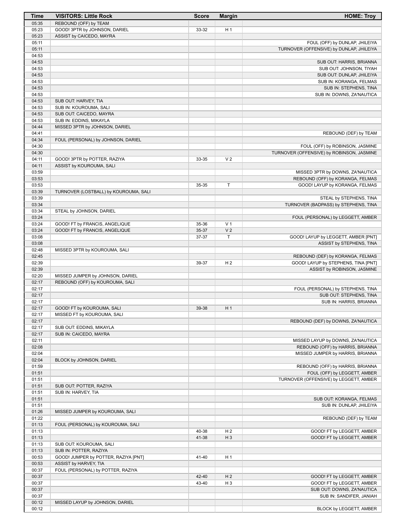| Time           | <b>VISITORS: Little Rock</b>                                        | <b>Score</b>   | <b>Margin</b>                    | <b>HOME: Troy</b>                                      |
|----------------|---------------------------------------------------------------------|----------------|----------------------------------|--------------------------------------------------------|
| 05:35          | REBOUND (OFF) by TEAM                                               |                |                                  |                                                        |
| 05:23          | GOOD! 3PTR by JOHNSON, DARIEL                                       | 33-32          | H <sub>1</sub>                   |                                                        |
| 05:23          | ASSIST by CAICEDO, MAYRA                                            |                |                                  |                                                        |
| 05:11          |                                                                     |                |                                  | FOUL (OFF) by DUNLAP, JHILEIYA                         |
| 05:11<br>04:53 |                                                                     |                |                                  | TURNOVER (OFFENSIVE) by DUNLAP, JHILEIYA               |
| 04:53          |                                                                     |                |                                  | SUB OUT: HARRIS, BRIANNA                               |
| 04:53          |                                                                     |                |                                  | SUB OUT: JOHNSON, TIYAH                                |
| 04:53          |                                                                     |                |                                  | SUB OUT: DUNLAP, JHILEIYA                              |
| 04:53          |                                                                     |                |                                  | SUB IN: KORANGA, FELMAS                                |
| 04:53          |                                                                     |                |                                  | SUB IN: STEPHENS, TINA                                 |
| 04:53          |                                                                     |                |                                  | SUB IN: DOWNS, ZA'NAUTICA                              |
| 04:53          | SUB OUT: HARVEY, TIA                                                |                |                                  |                                                        |
| 04:53<br>04:53 | SUB IN: KOUROUMA, SALI                                              |                |                                  |                                                        |
| 04:53          | SUB OUT: CAICEDO, MAYRA<br>SUB IN: EDDINS, MIKAYLA                  |                |                                  |                                                        |
| 04:44          | MISSED 3PTR by JOHNSON, DARIEL                                      |                |                                  |                                                        |
| 04:41          |                                                                     |                |                                  | REBOUND (DEF) by TEAM                                  |
| 04:34          | FOUL (PERSONAL) by JOHNSON, DARIEL                                  |                |                                  |                                                        |
| 04:30          |                                                                     |                |                                  | FOUL (OFF) by ROBINSON, JASMINE                        |
| 04:30          |                                                                     |                |                                  | TURNOVER (OFFENSIVE) by ROBINSON, JASMINE              |
| 04:11          | GOOD! 3PTR by POTTER, RAZIYA                                        | 33-35          | V <sub>2</sub>                   |                                                        |
| 04:11<br>03:59 | ASSIST by KOUROUMA, SALI                                            |                |                                  | MISSED 3PTR by DOWNS, ZA'NAUTICA                       |
| 03:53          |                                                                     |                |                                  | REBOUND (OFF) by KORANGA, FELMAS                       |
| 03:53          |                                                                     | 35-35          | T                                | GOOD! LAYUP by KORANGA, FELMAS                         |
| 03:39          | TURNOVER (LOSTBALL) by KOUROUMA, SALI                               |                |                                  |                                                        |
| 03:39          |                                                                     |                |                                  | STEAL by STEPHENS, TINA                                |
| 03:34          |                                                                     |                |                                  | TURNOVER (BADPASS) by STEPHENS, TINA                   |
| 03:34          | STEAL by JOHNSON, DARIEL                                            |                |                                  |                                                        |
| 03:24          |                                                                     |                |                                  | FOUL (PERSONAL) by LEGGETT, AMBER                      |
| 03:24<br>03:24 | GOOD! FT by FRANCIS, ANGELIQUE<br>GOOD! FT by FRANCIS, ANGELIQUE    | 35-36<br>35-37 | V <sub>1</sub><br>V <sub>2</sub> |                                                        |
| 03:08          |                                                                     | 37-37          | T                                | GOOD! LAYUP by LEGGETT, AMBER [PNT]                    |
| 03:08          |                                                                     |                |                                  | ASSIST by STEPHENS, TINA                               |
| 02:48          | MISSED 3PTR by KOUROUMA, SALI                                       |                |                                  |                                                        |
| 02:45          |                                                                     |                |                                  | REBOUND (DEF) by KORANGA, FELMAS                       |
| 02:39          |                                                                     | 39-37          | H <sub>2</sub>                   | GOOD! LAYUP by STEPHENS, TINA [PNT]                    |
| 02:39          |                                                                     |                |                                  | ASSIST by ROBINSON, JASMINE                            |
| 02:20<br>02:17 | MISSED JUMPER by JOHNSON, DARIEL<br>REBOUND (OFF) by KOUROUMA, SALI |                |                                  |                                                        |
| 02:17          |                                                                     |                |                                  | FOUL (PERSONAL) by STEPHENS, TINA                      |
| 02:17          |                                                                     |                |                                  | SUB OUT: STEPHENS, TINA                                |
| 02:17          |                                                                     |                |                                  | SUB IN: HARRIS, BRIANNA                                |
| 02:17          | GOOD! FT by KOUROUMA, SALI                                          | 39-38          | H <sub>1</sub>                   |                                                        |
| 02:17          | MISSED FT by KOUROUMA, SALI                                         |                |                                  |                                                        |
| 02:17          |                                                                     |                |                                  | REBOUND (DEF) by DOWNS, ZA'NAUTICA                     |
| 02:17<br>02:17 | SUB OUT: EDDINS, MIKAYLA<br>SUB IN: CAICEDO, MAYRA                  |                |                                  |                                                        |
| 02:11          |                                                                     |                |                                  | MISSED LAYUP by DOWNS, ZA'NAUTICA                      |
| 02:08          |                                                                     |                |                                  | REBOUND (OFF) by HARRIS, BRIANNA                       |
| 02:04          |                                                                     |                |                                  | MISSED JUMPER by HARRIS, BRIANNA                       |
| 02:04          | BLOCK by JOHNSON, DARIEL                                            |                |                                  |                                                        |
| 01:59          |                                                                     |                |                                  | REBOUND (OFF) by HARRIS, BRIANNA                       |
| 01:51          |                                                                     |                |                                  | FOUL (OFF) by LEGGETT, AMBER                           |
| 01:51<br>01:51 |                                                                     |                |                                  | TURNOVER (OFFENSIVE) by LEGGETT, AMBER                 |
| 01:51          | SUB OUT: POTTER, RAZIYA<br>SUB IN: HARVEY, TIA                      |                |                                  |                                                        |
| 01:51          |                                                                     |                |                                  | SUB OUT: KORANGA, FELMAS                               |
| 01:51          |                                                                     |                |                                  | SUB IN: DUNLAP, JHILEIYA                               |
| 01:26          | MISSED JUMPER by KOUROUMA, SALI                                     |                |                                  |                                                        |
| 01:22          |                                                                     |                |                                  | REBOUND (DEF) by TEAM                                  |
| 01:13          | FOUL (PERSONAL) by KOUROUMA, SALI                                   |                |                                  |                                                        |
| 01:13<br>01:13 |                                                                     | 40-38<br>41-38 | H <sub>2</sub><br>$H_3$          | GOOD! FT by LEGGETT, AMBER                             |
| 01:13          | SUB OUT: KOUROUMA, SALI                                             |                |                                  | GOOD! FT by LEGGETT, AMBER                             |
| 01:13          | SUB IN: POTTER, RAZIYA                                              |                |                                  |                                                        |
| 00:53          | GOOD! JUMPER by POTTER, RAZIYA [PNT]                                | 41-40          | H <sub>1</sub>                   |                                                        |
| 00:53          | ASSIST by HARVEY, TIA                                               |                |                                  |                                                        |
| 00:37          | FOUL (PERSONAL) by POTTER, RAZIYA                                   |                |                                  |                                                        |
| 00:37          |                                                                     | 42-40          | H <sub>2</sub>                   | GOOD! FT by LEGGETT, AMBER                             |
| 00:37          |                                                                     | 43-40          | H <sub>3</sub>                   | GOOD! FT by LEGGETT, AMBER                             |
| 00:37<br>00:37 |                                                                     |                |                                  | SUB OUT: DOWNS, ZA'NAUTICA<br>SUB IN: SANDIFER, JANIAH |
| 00:12          | MISSED LAYUP by JOHNSON, DARIEL                                     |                |                                  |                                                        |
| 00:12          |                                                                     |                |                                  | BLOCK by LEGGETT, AMBER                                |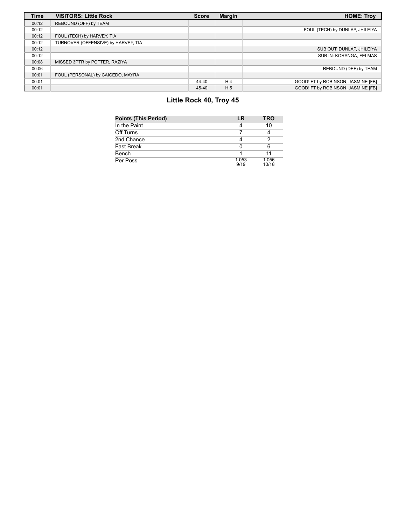| <b>Time</b> | <b>VISITORS: Little Rock</b>        | <b>Score</b> | <b>Margin</b>  | <b>HOME: Troy</b>                  |
|-------------|-------------------------------------|--------------|----------------|------------------------------------|
| 00:12       | REBOUND (OFF) by TEAM               |              |                |                                    |
| 00:12       |                                     |              |                | FOUL (TECH) by DUNLAP, JHILEIYA    |
| 00:12       | FOUL (TECH) by HARVEY, TIA          |              |                |                                    |
| 00:12       | TURNOVER (OFFENSIVE) by HARVEY, TIA |              |                |                                    |
| 00:12       |                                     |              |                | SUB OUT: DUNLAP, JHILEIYA          |
| 00:12       |                                     |              |                | SUB IN: KORANGA, FELMAS            |
| 00:08       | MISSED 3PTR by POTTER, RAZIYA       |              |                |                                    |
| 00:06       |                                     |              |                | REBOUND (DEF) by TEAM              |
| 00:01       | FOUL (PERSONAL) by CAICEDO, MAYRA   |              |                |                                    |
| 00:01       |                                     | 44-40        | H <sub>4</sub> | GOOD! FT by ROBINSON, JASMINE [FB] |
| 00:01       |                                     | 45-40        | H <sub>5</sub> | GOOD! FT by ROBINSON, JASMINE [FB] |

# **Little Rock 40, Troy 45**

| <b>Points (This Period)</b> | LR            | TRO            |
|-----------------------------|---------------|----------------|
| In the Paint                |               | 10             |
| Off Turns                   |               |                |
| 2nd Chance                  |               |                |
| <b>Fast Break</b>           |               |                |
| Bench                       |               |                |
| Per Poss                    | 1.053<br>9/19 | 1.056<br>10/18 |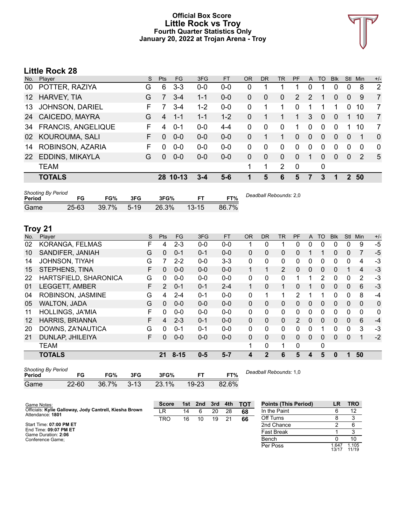### **Official Box Score Little Rock vs Troy Fourth Quarter Statistics Only January 20, 2022 at Trojan Arena - Troy**



# **Little Rock 28**

| No. | Player                    | S. | <b>Pts</b> | FG.      | 3FG     | <b>FT</b> | <b>OR</b> | <b>DR</b> | TR       | PF            | A              | TO             | <b>Blk</b> | Stl         | Min      | $+/-$          |
|-----|---------------------------|----|------------|----------|---------|-----------|-----------|-----------|----------|---------------|----------------|----------------|------------|-------------|----------|----------------|
| 00  | POTTER, RAZIYA            | G  | 6          | $3 - 3$  | $0 - 0$ | $0-0$     | 0         |           |          |               | 0              |                | 0          | 0           | 8        | 2              |
| 12  | HARVEY, TIA               | G  |            | $3 - 4$  | $1 - 1$ | $0 - 0$   | 0         | 0         | $\Omega$ | $\mathcal{P}$ | 2              | 1              | 0          | $\Omega$    | 9        | $\overline{7}$ |
| 13  | JOHNSON, DARIEL           | F  |            | 3-4      | $1 - 2$ | $0-0$     | 0         | 1         |          | $\Omega$      |                |                |            | 0           | 10       | 7              |
| 24  | CAICEDO, MAYRA            | G  | 4          | $1 - 1$  | $1 - 1$ | $1 - 2$   | 0         | 1         |          | 1             | 3              | $\Omega$       | 0          |             | 10       | $\overline{7}$ |
| 34  | <b>FRANCIS, ANGELIQUE</b> | F  | 4          | $0 - 1$  | $0-0$   | $4 - 4$   | 0         | 0         | 0        | 1             | $\Omega$       | $\Omega$       | 0          |             | 10       | 7              |
| 02  | KOUROUMA, SALI            | F. | $\Omega$   | $0 - 0$  | $0 - 0$ | $0 - 0$   | 0         |           | 1        | $\Omega$      | $\overline{0}$ | $\overline{0}$ | $\Omega$   | $\Omega$    | 1        | $\mathbf{0}$   |
| 14  | ROBINSON, AZARIA          | F  | 0          | $0 - 0$  | $0 - 0$ | $0-0$     | 0         | $\Omega$  | $\Omega$ | $\Omega$      | $\mathbf 0$    | $\Omega$       | 0          | $\Omega$    | $\Omega$ | $\Omega$       |
| 22  | EDDINS, MIKAYLA           | G  | $\Omega$   | $0 - 0$  | $0 - 0$ | $0-0$     | 0         | $\Omega$  | $\Omega$ | $\Omega$      |                | 0              | 0          | $\Omega$    | 2        | 5              |
|     | <b>TEAM</b>               |    |            |          |         |           |           | 1         | 2        | $\mathbf 0$   |                | 0              |            |             |          |                |
|     | <b>TOTALS</b>             |    |            | 28 10-13 | $3 - 4$ | 5-6       |           | 5         | 6        | 5             | 7              | 3              |            | $2^{\circ}$ | 50       |                |
|     |                           |    |            |          |         |           |           |           |          |               |                |                |            |             |          |                |

| <b>Shooting By Period</b><br>Period | FG        | FG%   | 3FG      | 3FG%  |           | FT%   | Deadball Rebounds: 2,0 |
|-------------------------------------|-----------|-------|----------|-------|-----------|-------|------------------------|
| Game                                | $25 - 63$ | 39.7% | $5 - 19$ | 26.3% | $13 - 15$ | 86.7% |                        |

# **Troy 21**

| No. | Player                  | S  | Pts            | <b>FG</b> | 3FG     | <b>FT</b> | <b>OR</b>    | <b>DR</b>    | <b>TR</b>      | PF            | A            | <b>TO</b>    | <b>Blk</b> | Stl          | Min            | $+/-$        |
|-----|-------------------------|----|----------------|-----------|---------|-----------|--------------|--------------|----------------|---------------|--------------|--------------|------------|--------------|----------------|--------------|
| 02  | KORANGA, FELMAS         | F  | 4              | $2 - 3$   | $0 - 0$ | $0-0$     | 1            | 0            | 1              | 0             | 0            | 0            | 0          | 0            | 9              | $-5$         |
| 10  | SANDIFER, JANIAH        | G  | 0              | $0 - 1$   | $0 - 1$ | $0 - 0$   | $\mathbf{0}$ | 0            | 0              | 0             |              |              | 0          | $\Omega$     |                | $-5$         |
| 14  | JOHNSON, TIYAH          | G  |                | $2 - 2$   | $0 - 0$ | $3 - 3$   | 0            | 0            | 0              | 0             | 0            | 0            | 0          | 0            | 4              | $-3$         |
| 15  | STEPHENS, TINA          | F  | 0              | $0 - 0$   | $0 - 0$ | $0 - 0$   |              |              | $\overline{2}$ | 0             | $\mathbf{0}$ | $\mathbf{0}$ | 0          |              | $\overline{4}$ | $-3$         |
| 22  | HARTSFIELD, SHARONICA   | G  | 0              | $0 - 0$   | $0 - 0$ | $0 - 0$   | 0            | 0            | 0              |               |              | 2            | 0          | $\Omega$     | 2              | -3           |
| 01  | <b>LEGGETT, AMBER</b>   | F. | $\overline{2}$ | $0 - 1$   | $0 - 1$ | $2 - 4$   | $\mathbf{1}$ | 0            | 1              | 0             |              | $\Omega$     | 0          | $\mathbf{0}$ | 6              | $-3$         |
| 04  | ROBINSON, JASMINE       | G  | 4              | $2 - 4$   | $0 - 1$ | $0 - 0$   | $\Omega$     | 1            | 1              | $\mathcal{P}$ | 1            | 1            | 0          | $\Omega$     | 8              | $-4$         |
| 05  | <b>WALTON, JADA</b>     | G  | $\Omega$       | $0 - 0$   | $0 - 0$ | $0 - 0$   | $\Omega$     | 0            | $\mathbf{0}$   | 0             | $\mathbf{0}$ | $\mathbf{0}$ | 0          | $\mathbf{0}$ | $\overline{0}$ | $\mathbf{0}$ |
| 11  | <b>HOLLINGS, JA'MIA</b> | F  | 0              | $0 - 0$   | $0 - 0$ | $0 - 0$   | $\Omega$     | 0            | $\Omega$       | 0             | 0            | $\Omega$     | 0          | 0            | $\Omega$       | $\mathbf{0}$ |
| 12  | <b>HARRIS, BRIANNA</b>  | F. | 4              | $2 - 3$   | $0 - 1$ | $0 - 0$   | $\Omega$     | $\Omega$     | $\Omega$       | 2             | $\Omega$     | $\Omega$     | $\Omega$   | $\Omega$     | 6              | $-4$         |
| 20  | DOWNS, ZA'NAUTICA       | G  | 0              | $0 - 1$   | $0 - 1$ | $0 - 0$   | 0            | 0            | 0              | 0             | 0            |              | 0          | $\Omega$     | 3              | -3           |
| 21  | DUNLAP, JHILEIYA        | F. | 0              | $0-0$     | $0 - 0$ | $0 - 0$   | $\Omega$     | 0            | 0              | 0             | $\mathbf{0}$ | $\Omega$     | $\Omega$   | $\Omega$     | 1              | $-2$         |
|     | <b>TEAM</b>             |    |                |           |         |           |              | 0            | 1              | 0             |              | 0            |            |              |                |              |
|     | <b>TOTALS</b>           |    | 21             | $8 - 15$  | $0 - 5$ | $5 - 7$   | 4            | $\mathbf{2}$ | 6              | 5             | 4            | 5            | 0          |              | 50             |              |

| <b>Shooting By Period</b><br>Period | FG        | FG%             | 3FG | 3FG%  | FT.       | FT%   | Deadball Rebounds: 1,0 |
|-------------------------------------|-----------|-----------------|-----|-------|-----------|-------|------------------------|
| Game                                | $22 - 60$ | $36.7\%$ $3-13$ |     | 23.1% | $19 - 23$ | 82.6% |                        |

| Game Notes:                                                                | <b>Score</b> | 1st | 2nd | 3rd | 4th | тот | <b>Points (This Period)</b> | ∟R′            | <b>TRO</b>     |
|----------------------------------------------------------------------------|--------------|-----|-----|-----|-----|-----|-----------------------------|----------------|----------------|
| Officials: Kylie Galloway, Jody Cantrell, Kiesha Brown<br>Attendance: 1801 | ίR           | 14  |     | 20  | 28  | 68  | In the Paint                |                |                |
|                                                                            | TRO          | 16  | 10  | 19  |     | 66  | Off Turns                   |                |                |
| Start Time: 07:00 PM ET                                                    |              |     |     |     |     |     | 2nd Chance                  |                |                |
| End Time: 09:07 PM ET<br>Game Duration: 2:06                               |              |     |     |     |     |     | <b>Fast Break</b>           |                |                |
| Conference Game:                                                           |              |     |     |     |     |     | Bench                       |                | 10             |
|                                                                            |              |     |     |     |     |     | Per Poss                    | 1.647<br>13/17 | 1.105<br>11/19 |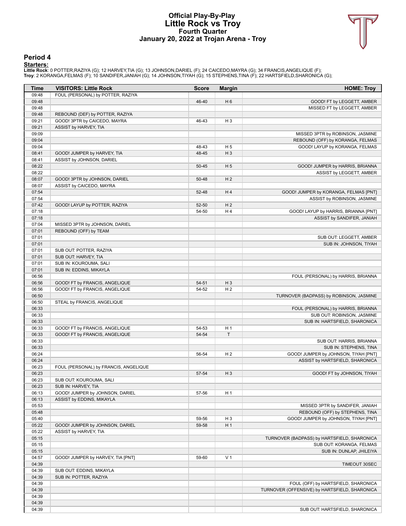### **Official Play-By-Play Little Rock vs Troy Fourth Quarter January 20, 2022 at Trojan Arena - Troy**



#### **Period 4**

<mark>Startersː</mark><br>Little Rockː 0 POTTER,RAZIYA (G); 12 HARVEY,TIA (G); 13 JOHNSON,DARIEL (F); 24 CAICEDO,MAYRA (G); 34 FRANCIS,ANGELIQUE (F);<br>Troy: 2 KORANGA,FELMAS (F); 10 SANDIFER,JANIAH (G); 14 JOHNSON,TIYAH (G); 15 STEPHENS,

| Time           | <b>VISITORS: Little Rock</b>          | <b>Score</b> | <b>Margin</b>            | <b>HOME: Troy</b>                                  |
|----------------|---------------------------------------|--------------|--------------------------|----------------------------------------------------|
| 09:48          | FOUL (PERSONAL) by POTTER, RAZIYA     |              |                          |                                                    |
| 09:48          |                                       | 46-40        | H <sub>6</sub>           | GOOD! FT by LEGGETT, AMBER                         |
| 09:48          |                                       |              |                          | MISSED FT by LEGGETT, AMBER                        |
| 09:48          | REBOUND (DEF) by POTTER, RAZIYA       |              |                          |                                                    |
| 09:21          | GOOD! 3PTR by CAICEDO, MAYRA          | 46-43        | H <sub>3</sub>           |                                                    |
| 09:21          | ASSIST by HARVEY, TIA                 |              |                          |                                                    |
| 09:09          |                                       |              |                          | MISSED 3PTR by ROBINSON, JASMINE                   |
| 09:04          |                                       |              |                          | REBOUND (OFF) by KORANGA, FELMAS                   |
| 09:04          |                                       | 48-43        | H <sub>5</sub>           | GOOD! LAYUP by KORANGA, FELMAS                     |
| 08:41          | GOOD! JUMPER by HARVEY, TIA           | 48-45        | $H_3$                    |                                                    |
| 08:41          | ASSIST by JOHNSON, DARIEL             |              |                          |                                                    |
| 08:22          |                                       | $50 - 45$    | H <sub>5</sub>           | GOOD! JUMPER by HARRIS, BRIANNA                    |
| 08:22          |                                       |              |                          | ASSIST by LEGGETT, AMBER                           |
| 08:07          | GOOD! 3PTR by JOHNSON, DARIEL         | 50-48        | H <sub>2</sub>           |                                                    |
| 08:07          | ASSIST by CAICEDO, MAYRA              |              |                          |                                                    |
| 07:54          |                                       | 52-48        | H4                       | GOOD! JUMPER by KORANGA, FELMAS [PNT]              |
| 07:54          |                                       |              |                          | ASSIST by ROBINSON, JASMINE                        |
| 07:42          | GOOD! LAYUP by POTTER, RAZIYA         | 52-50        | H <sub>2</sub>           |                                                    |
| 07:18          |                                       | 54-50        | H <sub>4</sub>           | GOOD! LAYUP by HARRIS, BRIANNA [PNT]               |
| 07:18          |                                       |              |                          | ASSIST by SANDIFER, JANIAH                         |
| 07:04          | MISSED 3PTR by JOHNSON, DARIEL        |              |                          |                                                    |
| 07:01          | REBOUND (OFF) by TEAM                 |              |                          |                                                    |
| 07:01          |                                       |              |                          | SUB OUT: LEGGETT, AMBER                            |
| 07:01          |                                       |              |                          | SUB IN: JOHNSON, TIYAH                             |
| 07:01          | SUB OUT: POTTER, RAZIYA               |              |                          |                                                    |
| 07:01          | SUB OUT: HARVEY, TIA                  |              |                          |                                                    |
| 07:01          | SUB IN: KOUROUMA, SALI                |              |                          |                                                    |
| 07:01          | SUB IN: EDDINS, MIKAYLA               |              |                          |                                                    |
| 06:56          |                                       |              |                          | FOUL (PERSONAL) by HARRIS, BRIANNA                 |
| 06:56          | GOOD! FT by FRANCIS, ANGELIQUE        | 54-51        | $H_3$                    |                                                    |
| 06:56          | GOOD! FT by FRANCIS, ANGELIQUE        | 54-52        | H <sub>2</sub>           |                                                    |
| 06:50          |                                       |              |                          | TURNOVER (BADPASS) by ROBINSON, JASMINE            |
| 06:50          | STEAL by FRANCIS, ANGELIQUE           |              |                          |                                                    |
| 06:33          |                                       |              |                          | FOUL (PERSONAL) by HARRIS, BRIANNA                 |
| 06:33          |                                       |              |                          | SUB OUT: ROBINSON, JASMINE                         |
| 06:33          |                                       |              |                          | SUB IN: HARTSFIELD, SHARONICA                      |
| 06:33          | GOOD! FT by FRANCIS, ANGELIQUE        | 54-53        | H <sub>1</sub><br>$\top$ |                                                    |
| 06:33<br>06:33 | GOOD! FT by FRANCIS, ANGELIQUE        | 54-54        |                          |                                                    |
| 06:33          |                                       |              |                          | SUB OUT: HARRIS, BRIANNA<br>SUB IN: STEPHENS, TINA |
| 06:24          |                                       | 56-54        | H <sub>2</sub>           | GOOD! JUMPER by JOHNSON, TIYAH [PNT]               |
| 06:24          |                                       |              |                          | ASSIST by HARTSFIELD, SHARONICA                    |
| 06:23          | FOUL (PERSONAL) by FRANCIS, ANGELIQUE |              |                          |                                                    |
| 06:23          |                                       | 57-54        | $H_3$                    | GOOD! FT by JOHNSON, TIYAH                         |
| 06:23          | SUB OUT: KOUROUMA, SALI               |              |                          |                                                    |
| 06:23          | SUB IN: HARVEY, TIA                   |              |                          |                                                    |
| 06:13          | GOOD! JUMPER by JOHNSON, DARIEL       | 57-56        | H <sub>1</sub>           |                                                    |
| 06:13          | ASSIST by EDDINS, MIKAYLA             |              |                          |                                                    |
| 05:53          |                                       |              |                          | MISSED 3PTR by SANDIFER, JANIAH                    |
| 05:48          |                                       |              |                          | REBOUND (OFF) by STEPHENS, TINA                    |
| 05:40          |                                       | 59-56        | H <sub>3</sub>           | GOOD! JUMPER by JOHNSON, TIYAH [PNT]               |
| 05:22          | GOOD! JUMPER by JOHNSON, DARIEL       | 59-58        | H <sub>1</sub>           |                                                    |
| 05:22          | ASSIST by HARVEY, TIA                 |              |                          |                                                    |
| 05:15          |                                       |              |                          | TURNOVER (BADPASS) by HARTSFIELD, SHARONICA        |
| 05:15          |                                       |              |                          | SUB OUT: KORANGA, FELMAS                           |
| 05:15          |                                       |              |                          | SUB IN: DUNLAP, JHILEIYA                           |
| 04:57          | GOOD! JUMPER by HARVEY, TIA [PNT]     | 59-60        | V <sub>1</sub>           |                                                    |
| 04:39          |                                       |              |                          | TIMEOUT 30SEC                                      |
| 04:39          | SUB OUT: EDDINS, MIKAYLA              |              |                          |                                                    |
| 04:39          | SUB IN: POTTER, RAZIYA                |              |                          |                                                    |
| 04:39          |                                       |              |                          | FOUL (OFF) by HARTSFIELD, SHARONICA                |
| 04:39          |                                       |              |                          | TURNOVER (OFFENSIVE) by HARTSFIELD, SHARONICA      |
| 04:39          |                                       |              |                          |                                                    |
| 04:39          |                                       |              |                          |                                                    |
| 04:39          |                                       |              |                          | SUB OUT: HARTSFIELD, SHARONICA                     |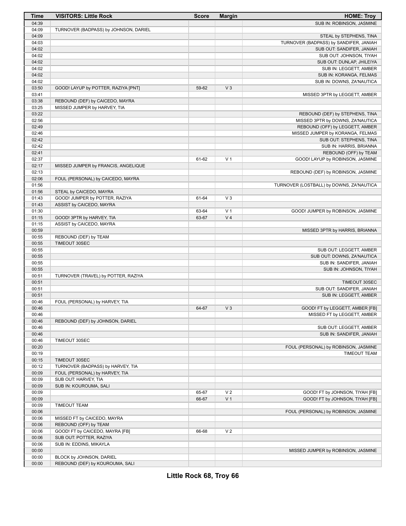| Time           | <b>VISITORS: Little Rock</b>                       | <b>Score</b> | <b>Margin</b>  | <b>HOME: Troy</b>                        |
|----------------|----------------------------------------------------|--------------|----------------|------------------------------------------|
| 04:39          |                                                    |              |                | SUB IN: ROBINSON, JASMINE                |
| 04:09          | TURNOVER (BADPASS) by JOHNSON, DARIEL              |              |                |                                          |
| 04:09          |                                                    |              |                | STEAL by STEPHENS, TINA                  |
| 04:03          |                                                    |              |                | TURNOVER (BADPASS) by SANDIFER, JANIAH   |
| 04:02          |                                                    |              |                | SUB OUT: SANDIFER, JANIAH                |
| 04:02          |                                                    |              |                | SUB OUT: JOHNSON, TIYAH                  |
| 04:02          |                                                    |              |                | SUB OUT: DUNLAP, JHILEIYA                |
| 04:02          |                                                    |              |                | SUB IN: LEGGETT, AMBER                   |
| 04:02          |                                                    |              |                | SUB IN: KORANGA, FELMAS                  |
| 04:02          |                                                    |              |                | SUB IN: DOWNS, ZA'NAUTICA                |
| 03:50          | GOOD! LAYUP by POTTER, RAZIYA [PNT]                | 59-62        | V <sub>3</sub> |                                          |
| 03:41          |                                                    |              |                | MISSED 3PTR by LEGGETT, AMBER            |
| 03:38          | REBOUND (DEF) by CAICEDO, MAYRA                    |              |                |                                          |
| 03:25          | MISSED JUMPER by HARVEY, TIA                       |              |                |                                          |
| 03:22          |                                                    |              |                | REBOUND (DEF) by STEPHENS, TINA          |
| 02:56          |                                                    |              |                | MISSED 3PTR by DOWNS, ZA'NAUTICA         |
| 02:49          |                                                    |              |                | REBOUND (OFF) by LEGGETT, AMBER          |
| 02:46          |                                                    |              |                | MISSED JUMPER by KORANGA, FELMAS         |
| 02:42          |                                                    |              |                | SUB OUT: STEPHENS, TINA                  |
| 02:42          |                                                    |              |                | SUB IN: HARRIS, BRIANNA                  |
| 02:41<br>02:37 |                                                    | 61-62        | V <sub>1</sub> | REBOUND (OFF) by TEAM                    |
| 02:17          | MISSED JUMPER by FRANCIS, ANGELIQUE                |              |                | GOOD! LAYUP by ROBINSON, JASMINE         |
| 02:13          |                                                    |              |                | REBOUND (DEF) by ROBINSON, JASMINE       |
| 02:06          | FOUL (PERSONAL) by CAICEDO, MAYRA                  |              |                |                                          |
| 01:56          |                                                    |              |                | TURNOVER (LOSTBALL) by DOWNS, ZA'NAUTICA |
| 01:56          | STEAL by CAICEDO, MAYRA                            |              |                |                                          |
| 01:43          | GOOD! JUMPER by POTTER, RAZIYA                     | 61-64        | V <sub>3</sub> |                                          |
| 01:43          | ASSIST by CAICEDO, MAYRA                           |              |                |                                          |
| 01:30          |                                                    | 63-64        | V <sub>1</sub> | GOOD! JUMPER by ROBINSON, JASMINE        |
| 01:15          | GOOD! 3PTR by HARVEY, TIA                          | 63-67        | V <sub>4</sub> |                                          |
| 01:15          | ASSIST by CAICEDO, MAYRA                           |              |                |                                          |
| 00:59          |                                                    |              |                | MISSED 3PTR by HARRIS, BRIANNA           |
| 00:55          | REBOUND (DEF) by TEAM                              |              |                |                                          |
| 00:55          | TIMEOUT 30SEC                                      |              |                |                                          |
| 00:55          |                                                    |              |                | SUB OUT: LEGGETT, AMBER                  |
| 00:55          |                                                    |              |                | SUB OUT: DOWNS, ZA'NAUTICA               |
| 00:55          |                                                    |              |                | SUB IN: SANDIFER, JANIAH                 |
| 00:55          |                                                    |              |                | SUB IN: JOHNSON, TIYAH                   |
| 00:51          | TURNOVER (TRAVEL) by POTTER, RAZIYA                |              |                |                                          |
| 00:51          |                                                    |              |                | TIMEOUT 30SEC                            |
| 00:51          |                                                    |              |                | SUB OUT: SANDIFER, JANIAH                |
| 00:51          |                                                    |              |                | SUB IN: LEGGETT, AMBER                   |
| 00:46          | FOUL (PERSONAL) by HARVEY, TIA                     |              |                |                                          |
| 00:46          |                                                    | 64-67        | V <sub>3</sub> | GOOD! FT by LEGGETT, AMBER [FB]          |
| 00:46          |                                                    |              |                | MISSED FT by LEGGETT, AMBER              |
| 00:46          | REBOUND (DEF) by JOHNSON, DARIEL                   |              |                |                                          |
| 00:46          |                                                    |              |                | SUB OUT: LEGGETT, AMBER                  |
| 00:46          |                                                    |              |                | SUB IN: SANDIFER, JANIAH                 |
| 00:46          | TIMEOUT 30SEC                                      |              |                |                                          |
| 00:20          |                                                    |              |                | FOUL (PERSONAL) by ROBINSON, JASMINE     |
| 00:19          |                                                    |              |                | TIMEOUT TEAM                             |
| 00:15<br>00:12 | TIMEOUT 30SEC<br>TURNOVER (BADPASS) by HARVEY, TIA |              |                |                                          |
| 00:09          | FOUL (PERSONAL) by HARVEY, TIA                     |              |                |                                          |
| 00:09          | SUB OUT: HARVEY, TIA                               |              |                |                                          |
| 00:09          | SUB IN: KOUROUMA, SALI                             |              |                |                                          |
| 00:09          |                                                    | 65-67        | V <sub>2</sub> | GOOD! FT by JOHNSON, TIYAH [FB]          |
| 00:09          |                                                    | 66-67        | V <sub>1</sub> | GOOD! FT by JOHNSON, TIYAH [FB]          |
| 00:09          | <b>TIMEOUT TEAM</b>                                |              |                |                                          |
| 00:06          |                                                    |              |                | FOUL (PERSONAL) by ROBINSON, JASMINE     |
| 00:06          | MISSED FT by CAICEDO, MAYRA                        |              |                |                                          |
| 00:06          | REBOUND (OFF) by TEAM                              |              |                |                                          |
| 00:06          | GOOD! FT by CAICEDO, MAYRA [FB]                    | 66-68        | V <sub>2</sub> |                                          |
| 00:06          | SUB OUT: POTTER, RAZIYA                            |              |                |                                          |
| 00:06          | SUB IN: EDDINS, MIKAYLA                            |              |                |                                          |
| 00:00          |                                                    |              |                | MISSED JUMPER by ROBINSON, JASMINE       |
| 00:00          | BLOCK by JOHNSON, DARIEL                           |              |                |                                          |
| 00:00          | REBOUND (DEF) by KOUROUMA, SALI                    |              |                |                                          |
|                |                                                    |              |                |                                          |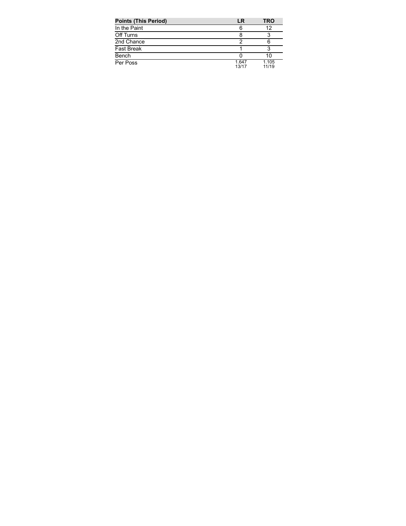| <b>Points (This Period)</b> | LR             | <b>TRO</b>     |
|-----------------------------|----------------|----------------|
| In the Paint                | 6              | 12             |
| Off Turns                   |                |                |
| 2nd Chance                  |                |                |
| <b>Fast Break</b>           |                |                |
| Bench                       |                | 10             |
| Per Poss                    | 1.647<br>13/17 | 1.105<br>11/19 |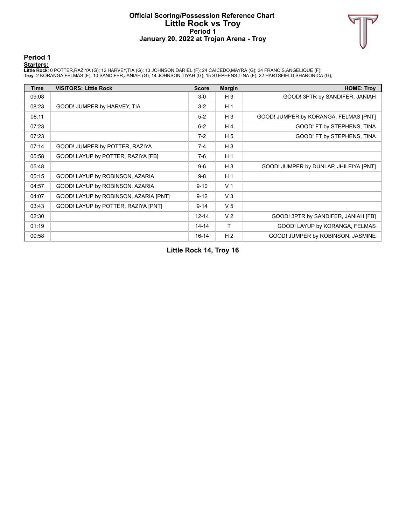#### **Official Scoring/Possession Reference Chart Little Rock vs Troy Period 1 January 20, 2022 at Trojan Arena - Troy**



**Period 1**

<mark>Startersː</mark><br>Little Rockː 0 POTTER,RAZIYA (G); 12 HARVEY,TIA (G); 13 JOHNSON,DARIEL (F); 24 CAICEDO,MAYRA (G); 34 FRANCIS,ANGELIQUE (F);<br>Troy: 2 KORANGA,FELMAS (F); 10 SANDIFER,JANIAH (G); 14 JOHNSON,TIYAH (G); 15 STEPHENS,

| <b>Time</b> | <b>VISITORS: Little Rock</b>          | <b>Score</b> | <b>Margin</b>  | <b>HOME: Troy</b>                      |
|-------------|---------------------------------------|--------------|----------------|----------------------------------------|
| 09:08       |                                       | $3-0$        | $H_3$          | GOOD! 3PTR by SANDIFER, JANIAH         |
| 08:23       | GOOD! JUMPER by HARVEY, TIA           | $3 - 2$      | H <sub>1</sub> |                                        |
| 08:11       |                                       | $5-2$        | $H_3$          | GOOD! JUMPER by KORANGA, FELMAS [PNT]  |
| 07:23       |                                       | $6 - 2$      | H 4            | GOOD! FT by STEPHENS, TINA             |
| 07:23       |                                       | $7-2$        | H <sub>5</sub> | GOOD! FT by STEPHENS, TINA             |
| 07:14       | GOOD! JUMPER by POTTER, RAZIYA        | $7-4$        | $H_3$          |                                        |
| 05:58       | GOOD! LAYUP by POTTER, RAZIYA [FB]    | $7-6$        | H <sub>1</sub> |                                        |
| 05:48       |                                       | $9-6$        | $H_3$          | GOOD! JUMPER by DUNLAP, JHILEIYA [PNT] |
| 05:15       | GOOD! LAYUP by ROBINSON, AZARIA       | $9 - 8$      | H <sub>1</sub> |                                        |
| 04:57       | GOOD! LAYUP by ROBINSON, AZARIA       | $9 - 10$     | V <sub>1</sub> |                                        |
| 04:07       | GOOD! LAYUP by ROBINSON, AZARIA [PNT] | $9 - 12$     | $V_3$          |                                        |
| 03:43       | GOOD! LAYUP by POTTER, RAZIYA [PNT]   | $9 - 14$     | V <sub>5</sub> |                                        |
| 02:30       |                                       | $12 - 14$    | V <sub>2</sub> | GOOD! 3PTR by SANDIFER, JANIAH [FB]    |
| 01:19       |                                       | $14 - 14$    | T              | GOOD! LAYUP by KORANGA, FELMAS         |
| 00:58       |                                       | $16 - 14$    | H <sub>2</sub> | GOOD! JUMPER by ROBINSON, JASMINE      |

**Little Rock 14, Troy 16**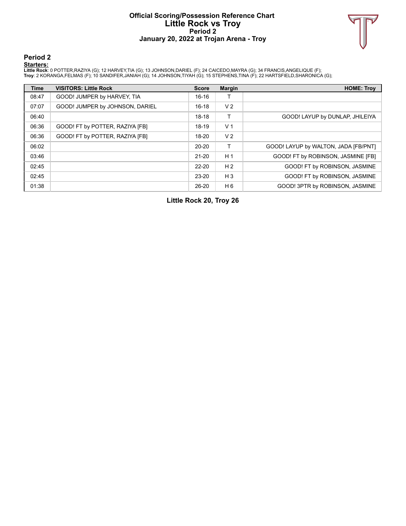### **Official Scoring/Possession Reference Chart Little Rock vs Troy Period 2 January 20, 2022 at Trojan Arena - Troy**



**Period 2**

<mark>Startersː</mark><br>Little Rockː 0 POTTER,RAZIYA (G); 12 HARVEY,TIA (G); 13 JOHNSON,DARIEL (F); 24 CAICEDO,MAYRA (G); 34 FRANCIS,ANGELIQUE (F);<br>Troy: 2 KORANGA,FELMAS (F); 10 SANDIFER,JANIAH (G); 14 JOHNSON,TIYAH (G); 15 STEPHENS,

| <b>Time</b> | <b>VISITORS: Little Rock</b>    | <b>Score</b> | <b>Margin</b>  | <b>HOME: Troy</b>                    |
|-------------|---------------------------------|--------------|----------------|--------------------------------------|
| 08:47       | GOOD! JUMPER by HARVEY, TIA     | $16-16$      |                |                                      |
| 07:07       | GOOD! JUMPER by JOHNSON, DARIEL | $16-18$      | V <sub>2</sub> |                                      |
| 06:40       |                                 | $18-18$      |                | GOOD! LAYUP by DUNLAP, JHILEIYA      |
| 06:36       | GOOD! FT by POTTER, RAZIYA [FB] | $18-19$      | V <sub>1</sub> |                                      |
| 06:36       | GOOD! FT by POTTER, RAZIYA [FB] | 18-20        | V <sub>2</sub> |                                      |
| 06:02       |                                 | $20 - 20$    | т              | GOOD! LAYUP by WALTON, JADA [FB/PNT] |
| 03:46       |                                 | $21 - 20$    | H <sub>1</sub> | GOOD! FT by ROBINSON, JASMINE [FB]   |
| 02:45       |                                 | $22 - 20$    | H <sub>2</sub> | GOOD! FT by ROBINSON, JASMINE        |
| 02:45       |                                 | $23 - 20$    | $H_3$          | GOOD! FT by ROBINSON, JASMINE        |
| 01:38       |                                 | $26 - 20$    | H 6            | GOOD! 3PTR by ROBINSON, JASMINE      |

**Little Rock 20, Troy 26**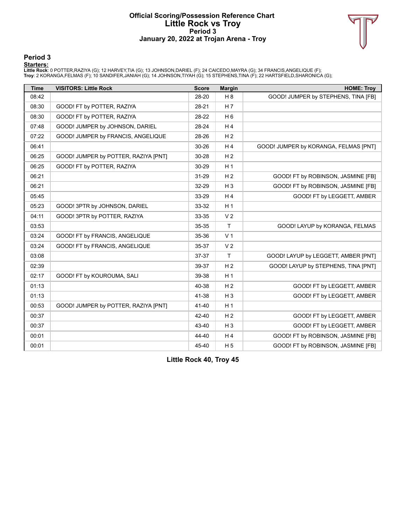### **Official Scoring/Possession Reference Chart Little Rock vs Troy Period 3 January 20, 2022 at Trojan Arena - Troy**



### **Period 3**

<mark>Startersː</mark><br>Little Rockː 0 POTTER,RAZIYA (G); 12 HARVEY,TIA (G); 13 JOHNSON,DARIEL (F); 24 CAICEDO,MAYRA (G); 34 FRANCIS,ANGELIQUE (F);<br>Troy: 2 KORANGA,FELMAS (F); 10 SANDIFER,JANIAH (G); 14 JOHNSON,TIYAH (G); 15 STEPHENS,

| <b>Time</b> | <b>VISITORS: Little Rock</b>         | <b>Score</b> | <b>Margin</b>  | <b>HOME: Troy</b>                     |
|-------------|--------------------------------------|--------------|----------------|---------------------------------------|
| 08:42       |                                      | 28-20        | H 8            | GOOD! JUMPER by STEPHENS, TINA [FB]   |
| 08:30       | GOOD! FT by POTTER, RAZIYA           | 28-21        | H <sub>7</sub> |                                       |
| 08:30       | GOOD! FT by POTTER, RAZIYA           | 28-22        | H <sub>6</sub> |                                       |
| 07:48       | GOOD! JUMPER by JOHNSON, DARIEL      | 28-24        | H <sub>4</sub> |                                       |
| 07:22       | GOOD! JUMPER by FRANCIS, ANGELIQUE   | 28-26        | H <sub>2</sub> |                                       |
| 06:41       |                                      | 30-26        | H <sub>4</sub> | GOOD! JUMPER by KORANGA, FELMAS [PNT] |
| 06:25       | GOOD! JUMPER by POTTER, RAZIYA [PNT] | 30-28        | H <sub>2</sub> |                                       |
| 06:25       | GOOD! FT by POTTER, RAZIYA           | 30-29        | H <sub>1</sub> |                                       |
| 06:21       |                                      | 31-29        | H <sub>2</sub> | GOOD! FT by ROBINSON, JASMINE [FB]    |
| 06:21       |                                      | 32-29        | $H_3$          | GOOD! FT by ROBINSON, JASMINE [FB]    |
| 05:45       |                                      | 33-29        | H4             | GOOD! FT by LEGGETT, AMBER            |
| 05:23       | GOOD! 3PTR by JOHNSON, DARIEL        | 33-32        | H <sub>1</sub> |                                       |
| 04:11       | GOOD! 3PTR by POTTER, RAZIYA         | 33-35        | V <sub>2</sub> |                                       |
| 03:53       |                                      | 35-35        | T              | GOOD! LAYUP by KORANGA, FELMAS        |
| 03:24       | GOOD! FT by FRANCIS, ANGELIQUE       | 35-36        | V <sub>1</sub> |                                       |
| 03:24       | GOOD! FT by FRANCIS, ANGELIQUE       | 35-37        | V <sub>2</sub> |                                       |
| 03:08       |                                      | 37-37        | T              | GOOD! LAYUP by LEGGETT, AMBER [PNT]   |
| 02:39       |                                      | 39-37        | H <sub>2</sub> | GOOD! LAYUP by STEPHENS, TINA [PNT]   |
| 02:17       | GOOD! FT by KOUROUMA, SALI           | 39-38        | H <sub>1</sub> |                                       |
| 01:13       |                                      | 40-38        | H <sub>2</sub> | GOOD! FT by LEGGETT, AMBER            |
| 01:13       |                                      | 41-38        | $H_3$          | GOOD! FT by LEGGETT, AMBER            |
| 00:53       | GOOD! JUMPER by POTTER, RAZIYA [PNT] | 41-40        | H <sub>1</sub> |                                       |
| 00:37       |                                      | 42-40        | H <sub>2</sub> | GOOD! FT by LEGGETT, AMBER            |
| 00:37       |                                      | 43-40        | $H_3$          | GOOD! FT by LEGGETT, AMBER            |
| 00:01       |                                      | 44-40        | H <sub>4</sub> | GOOD! FT by ROBINSON, JASMINE [FB]    |
| 00:01       |                                      | 45-40        | H <sub>5</sub> | GOOD! FT by ROBINSON, JASMINE [FB]    |

**Little Rock 40, Troy 45**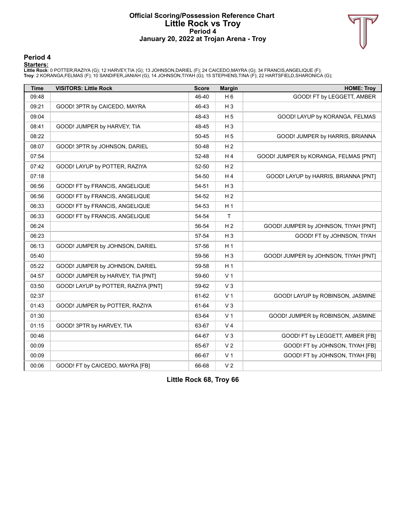#### **Official Scoring/Possession Reference Chart Little Rock vs Troy Period 4 January 20, 2022 at Trojan Arena - Troy**



**Period 4**

<mark>Startersː</mark><br>Little Rockː 0 POTTER,RAZIYA (G); 12 HARVEY,TIA (G); 13 JOHNSON,DARIEL (F); 24 CAICEDO,MAYRA (G); 34 FRANCIS,ANGELIQUE (F);<br>Troy: 2 KORANGA,FELMAS (F); 10 SANDIFER,JANIAH (G); 14 JOHNSON,TIYAH (G); 15 STEPHENS,

| <b>Time</b> | <b>VISITORS: Little Rock</b>        | <b>Score</b> | <b>Margin</b>  | <b>HOME: Troy</b>                     |
|-------------|-------------------------------------|--------------|----------------|---------------------------------------|
| 09:48       |                                     | 46-40        | H <sub>6</sub> | GOOD! FT by LEGGETT, AMBER            |
| 09:21       | GOOD! 3PTR by CAICEDO, MAYRA        | 46-43        | $H_3$          |                                       |
| 09:04       |                                     | 48-43        | H <sub>5</sub> | GOOD! LAYUP by KORANGA, FELMAS        |
| 08:41       | GOOD! JUMPER by HARVEY, TIA         | 48-45        | $H_3$          |                                       |
| 08:22       |                                     | 50-45        | H <sub>5</sub> | GOOD! JUMPER by HARRIS, BRIANNA       |
| 08:07       | GOOD! 3PTR by JOHNSON, DARIEL       | 50-48        | H <sub>2</sub> |                                       |
| 07:54       |                                     | 52-48        | H4             | GOOD! JUMPER by KORANGA, FELMAS [PNT] |
| 07:42       | GOOD! LAYUP by POTTER, RAZIYA       | 52-50        | H <sub>2</sub> |                                       |
| 07:18       |                                     | 54-50        | H <sub>4</sub> | GOOD! LAYUP by HARRIS, BRIANNA [PNT]  |
| 06:56       | GOOD! FT by FRANCIS, ANGELIQUE      | 54-51        | $H_3$          |                                       |
| 06:56       | GOOD! FT by FRANCIS, ANGELIQUE      | 54-52        | H <sub>2</sub> |                                       |
| 06:33       | GOOD! FT by FRANCIS, ANGELIQUE      | 54-53        | H <sub>1</sub> |                                       |
| 06:33       | GOOD! FT by FRANCIS, ANGELIQUE      | 54-54        | T              |                                       |
| 06:24       |                                     | 56-54        | H <sub>2</sub> | GOOD! JUMPER by JOHNSON, TIYAH [PNT]  |
| 06:23       |                                     | 57-54        | $H_3$          | GOOD! FT by JOHNSON, TIYAH            |
| 06:13       | GOOD! JUMPER by JOHNSON, DARIEL     | 57-56        | H <sub>1</sub> |                                       |
| 05:40       |                                     | 59-56        | $H_3$          | GOOD! JUMPER by JOHNSON, TIYAH [PNT]  |
| 05:22       | GOOD! JUMPER by JOHNSON, DARIEL     | 59-58        | H <sub>1</sub> |                                       |
| 04:57       | GOOD! JUMPER by HARVEY, TIA [PNT]   | 59-60        | V <sub>1</sub> |                                       |
| 03:50       | GOOD! LAYUP by POTTER, RAZIYA [PNT] | 59-62        | V <sub>3</sub> |                                       |
| 02:37       |                                     | 61-62        | V <sub>1</sub> | GOOD! LAYUP by ROBINSON, JASMINE      |
| 01:43       | GOOD! JUMPER by POTTER, RAZIYA      | 61-64        | V <sub>3</sub> |                                       |
| 01:30       |                                     | 63-64        | V <sub>1</sub> | GOOD! JUMPER by ROBINSON, JASMINE     |
| 01:15       | GOOD! 3PTR by HARVEY, TIA           | 63-67        | V <sub>4</sub> |                                       |
| 00:46       |                                     | 64-67        | V <sub>3</sub> | GOOD! FT by LEGGETT, AMBER [FB]       |
| 00:09       |                                     | 65-67        | V <sub>2</sub> | GOOD! FT by JOHNSON, TIYAH [FB]       |
| 00:09       |                                     | 66-67        | V <sub>1</sub> | GOOD! FT by JOHNSON, TIYAH [FB]       |
| 00:06       | GOOD! FT by CAICEDO, MAYRA [FB]     | 66-68        | V <sub>2</sub> |                                       |

**Little Rock 68, Troy 66**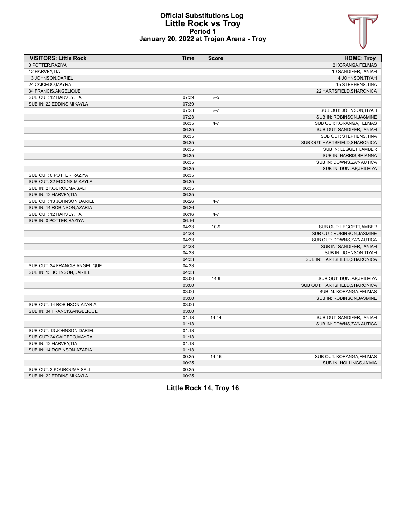

### **Official Substitutions Log Little Rock vs Troy Period 1 January 20, 2022 at Trojan Arena - Troy**

| <b>VISITORS: Little Rock</b>   | <b>Time</b> | <b>Score</b> | <b>HOME: Troy</b>              |
|--------------------------------|-------------|--------------|--------------------------------|
| 0 POTTER, RAZIYA               |             |              | 2 KORANGA, FELMAS              |
| 12 HARVEY, TIA                 |             |              | 10 SANDIFER, JANIAH            |
| 13 JOHNSON.DARIEL              |             |              | <b>14 JOHNSON, TIYAH</b>       |
| 24 CAICEDO.MAYRA               |             |              | 15 STEPHENS, TINA              |
| 34 FRANCIS, ANGELIQUE          |             |              | 22 HARTSFIELD, SHARONICA       |
| SUB OUT: 12 HARVEY, TIA        | 07:39       | $2 - 5$      |                                |
| SUB IN: 22 EDDINS, MIKAYLA     | 07:39       |              |                                |
|                                | 07:23       | $2 - 7$      | SUB OUT: JOHNSON, TIYAH        |
|                                | 07:23       |              | SUB IN: ROBINSON, JASMINE      |
|                                | 06:35       | $4 - 7$      | SUB OUT: KORANGA, FELMAS       |
|                                | 06:35       |              | SUB OUT: SANDIFER, JANIAH      |
|                                | 06:35       |              | SUB OUT: STEPHENS, TINA        |
|                                | 06:35       |              | SUB OUT: HARTSFIELD, SHARONICA |
|                                | 06:35       |              | SUB IN: LEGGETT, AMBER         |
|                                | 06:35       |              | SUB IN: HARRIS, BRIANNA        |
|                                | 06:35       |              | SUB IN: DOWNS, ZA'NAUTICA      |
|                                | 06:35       |              | SUB IN: DUNLAP, JHILEIYA       |
| SUB OUT: 0 POTTER, RAZIYA      | 06:35       |              |                                |
| SUB OUT: 22 EDDINS, MIKAYLA    | 06:35       |              |                                |
| SUB IN: 2 KOUROUMA.SALI        | 06:35       |              |                                |
| SUB IN: 12 HARVEY.TIA          | 06:35       |              |                                |
| SUB OUT: 13 JOHNSON, DARIEL    | 06:26       | $4 - 7$      |                                |
| SUB IN: 14 ROBINSON, AZARIA    | 06:26       |              |                                |
| SUB OUT: 12 HARVEY, TIA        | 06:16       | $4 - 7$      |                                |
| SUB IN: 0 POTTER, RAZIYA       | 06:16       |              |                                |
|                                | 04:33       | $10-9$       | SUB OUT: LEGGETT, AMBER        |
|                                | 04:33       |              | SUB OUT: ROBINSON, JASMINE     |
|                                | 04:33       |              | SUB OUT: DOWNS, ZA'NAUTICA     |
|                                | 04:33       |              | SUB IN: SANDIFER, JANIAH       |
|                                | 04:33       |              | SUB IN: JOHNSON, TIYAH         |
|                                | 04:33       |              | SUB IN: HARTSFIELD, SHARONICA  |
| SUB OUT: 34 FRANCIS, ANGELIQUE | 04:33       |              |                                |
| SUB IN: 13 JOHNSON.DARIEL      | 04:33       |              |                                |
|                                | 03:00       | $14-9$       | SUB OUT: DUNLAP, JHILEIYA      |
|                                | 03:00       |              | SUB OUT: HARTSFIELD, SHARONICA |
|                                | 03:00       |              | SUB IN: KORANGA, FELMAS        |
|                                | 03:00       |              | SUB IN: ROBINSON, JASMINE      |
| SUB OUT: 14 ROBINSON.AZARIA    | 03:00       |              |                                |
| SUB IN: 34 FRANCIS, ANGELIQUE  | 03:00       |              |                                |
|                                | 01:13       | $14 - 14$    | SUB OUT: SANDIFER, JANIAH      |
|                                | 01:13       |              | SUB IN: DOWNS, ZA'NAUTICA      |
| SUB OUT: 13 JOHNSON.DARIEL     | 01:13       |              |                                |
| SUB OUT: 24 CAICEDO, MAYRA     | 01:13       |              |                                |
| SUB IN: 12 HARVEY, TIA         | 01:13       |              |                                |
| SUB IN: 14 ROBINSON, AZARIA    | 01:13       |              |                                |
|                                | 00:25       | $14 - 16$    | SUB OUT: KORANGA, FELMAS       |
|                                | 00:25       |              | SUB IN: HOLLINGS, JA'MIA       |
| SUB OUT: 2 KOUROUMA, SALI      | 00:25       |              |                                |
| SUB IN: 22 EDDINS.MIKAYLA      | 00:25       |              |                                |

**Little Rock 14, Troy 16**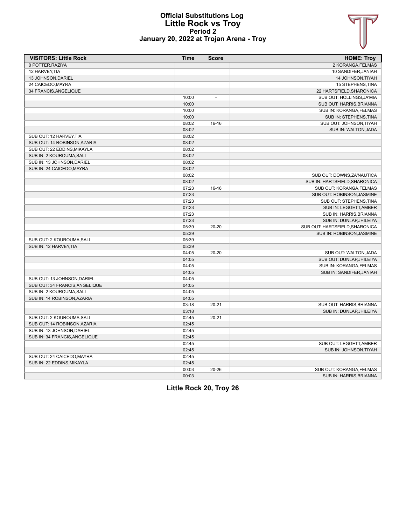

#### **Official Substitutions Log Little Rock vs Troy Period 2 January 20, 2022 at Trojan Arena - Troy**

| <b>VISITORS: Little Rock</b>   | <b>Time</b> | <b>Score</b>   | <b>HOME: Troy</b>              |
|--------------------------------|-------------|----------------|--------------------------------|
| 0 POTTER, RAZIYA               |             |                | 2 KORANGA, FELMAS              |
| 12 HARVEY, TIA                 |             |                | 10 SANDIFER, JANIAH            |
| 13 JOHNSON, DARIEL             |             |                | 14 JOHNSON, TIYAH              |
| 24 CAICEDO, MAYRA              |             |                | 15 STEPHENS, TINA              |
| 34 FRANCIS, ANGELIQUE          |             |                | 22 HARTSFIELD, SHARONICA       |
|                                | 10:00       | $\overline{a}$ | SUB OUT: HOLLINGS, JA'MIA      |
|                                | 10:00       |                | SUB OUT: HARRIS, BRIANNA       |
|                                | 10:00       |                | SUB IN: KORANGA, FELMAS        |
|                                | 10:00       |                | SUB IN: STEPHENS, TINA         |
|                                | 08:02       | 16-16          | SUB OUT: JOHNSON, TIYAH        |
|                                | 08:02       |                | SUB IN: WALTON, JADA           |
| SUB OUT: 12 HARVEY, TIA        | 08:02       |                |                                |
| SUB OUT: 14 ROBINSON, AZARIA   | 08:02       |                |                                |
| SUB OUT: 22 EDDINS.MIKAYLA     | 08:02       |                |                                |
| SUB IN: 2 KOUROUMA, SALI       | 08:02       |                |                                |
| SUB IN: 13 JOHNSON, DARIEL     | 08:02       |                |                                |
| SUB IN: 24 CAICEDO, MAYRA      | 08:02       |                |                                |
|                                | 08:02       |                | SUB OUT: DOWNS, ZA'NAUTICA     |
|                                | 08:02       |                | SUB IN: HARTSFIELD, SHARONICA  |
|                                | 07:23       | $16-16$        | SUB OUT: KORANGA, FELMAS       |
|                                | 07:23       |                | SUB OUT: ROBINSON, JASMINE     |
|                                | 07:23       |                | SUB OUT: STEPHENS, TINA        |
|                                | 07:23       |                | SUB IN: LEGGETT, AMBER         |
|                                | 07:23       |                | SUB IN: HARRIS, BRIANNA        |
|                                | 07:23       |                | SUB IN: DUNLAP, JHILEIYA       |
|                                | 05:39       | $20 - 20$      | SUB OUT: HARTSFIELD SHARONICA  |
|                                | 05:39       |                | SUB IN: ROBINSON, JASMINE      |
| SUB OUT: 2 KOUROUMA, SALI      | 05:39       |                |                                |
| SUB IN: 12 HARVEY, TIA         | 05:39       |                |                                |
|                                | 04:05       | $20 - 20$      | SUB OUT: WALTON, JADA          |
|                                | 04:05       |                | SUB OUT: DUNLAP, JHILEIYA      |
|                                | 04:05       |                | SUB IN: KORANGA, FELMAS        |
|                                | 04:05       |                | SUB IN: SANDIFER, JANIAH       |
| SUB OUT: 13 JOHNSON, DARIEL    | 04:05       |                |                                |
| SUB OUT: 34 FRANCIS, ANGELIQUE | 04:05       |                |                                |
| SUB IN: 2 KOUROUMA, SALI       | 04:05       |                |                                |
| SUB IN: 14 ROBINSON, AZARIA    | 04:05       |                |                                |
|                                | 03:18       | $20 - 21$      | <b>SUB OUT: HARRIS.BRIANNA</b> |
|                                | 03:18       |                | SUB IN: DUNLAP, JHILEIYA       |
| SUB OUT: 2 KOUROUMA, SALI      | 02:45       | $20 - 21$      |                                |
| SUB OUT: 14 ROBINSON, AZARIA   | 02:45       |                |                                |
| SUB IN: 13 JOHNSON, DARIEL     | 02:45       |                |                                |
| SUB IN: 34 FRANCIS, ANGELIQUE  | 02:45       |                |                                |
|                                | 02:45       |                | SUB OUT: LEGGETT, AMBER        |
|                                | 02:45       |                | SUB IN: JOHNSON, TIYAH         |
| SUB OUT: 24 CAICEDO, MAYRA     | 02:45       |                |                                |
| SUB IN: 22 EDDINS, MIKAYLA     | 02:45       |                |                                |
|                                | 00:03       | $20 - 26$      | SUB OUT: KORANGA, FELMAS       |
|                                | 00:03       |                | SUB IN: HARRIS, BRIANNA        |

**Little Rock 20, Troy 26**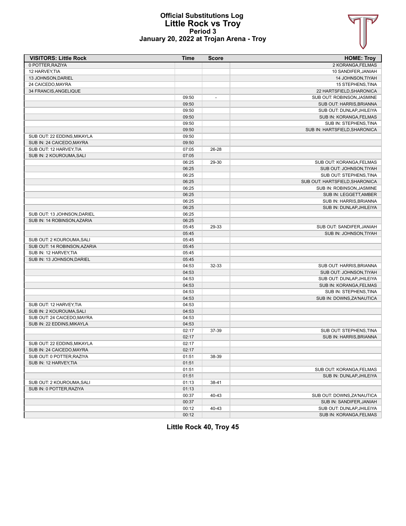

### **Official Substitutions Log Little Rock vs Troy Period 3 January 20, 2022 at Trojan Arena - Troy**

| <b>VISITORS: Little Rock</b> | <b>Time</b> | <b>Score</b>             | <b>HOME: Troy</b>              |
|------------------------------|-------------|--------------------------|--------------------------------|
| 0 POTTER, RAZIYA             |             |                          | 2 KORANGA, FELMAS              |
| 12 HARVEY, TIA               |             |                          | 10 SANDIFER, JANIAH            |
| 13 JOHNSON, DARIEL           |             |                          | 14 JOHNSON, TIYAH              |
| 24 CAICEDO, MAYRA            |             |                          | 15 STEPHENS, TINA              |
| 34 FRANCIS, ANGELIQUE        |             |                          | 22 HARTSFIELD, SHARONICA       |
|                              | 09:50       | $\overline{\phantom{a}}$ | SUB OUT: ROBINSON, JASMINE     |
|                              | 09:50       |                          | SUB OUT: HARRIS, BRIANNA       |
|                              | 09:50       |                          | SUB OUT: DUNLAP, JHILEIYA      |
|                              | 09:50       |                          | SUB IN: KORANGA, FELMAS        |
|                              | 09:50       |                          | SUB IN: STEPHENS, TINA         |
|                              | 09:50       |                          | SUB IN: HARTSFIELD, SHARONICA  |
| SUB OUT: 22 EDDINS, MIKAYLA  | 09:50       |                          |                                |
| SUB IN: 24 CAICEDO, MAYRA    | 09:50       |                          |                                |
| SUB OUT: 12 HARVEY, TIA      | 07:05       | 26-28                    |                                |
| SUB IN: 2 KOUROUMA, SALI     | 07:05       |                          |                                |
|                              | 06:25       | 29-30                    | SUB OUT: KORANGA, FELMAS       |
|                              | 06:25       |                          | SUB OUT: JOHNSON, TIYAH        |
|                              | 06:25       |                          | SUB OUT: STEPHENS, TINA        |
|                              | 06:25       |                          | SUB OUT: HARTSFIELD, SHARONICA |
|                              | 06:25       |                          | SUB IN: ROBINSON, JASMINE      |
|                              | 06:25       |                          | SUB IN: LEGGETT, AMBER         |
|                              | 06:25       |                          | SUB IN: HARRIS, BRIANNA        |
|                              | 06:25       |                          | SUB IN: DUNLAP, JHILEIYA       |
| SUB OUT: 13 JOHNSON, DARIEL  | 06:25       |                          |                                |
| SUB IN: 14 ROBINSON, AZARIA  | 06:25       |                          |                                |
|                              | 05:45       | 29-33                    | SUB OUT: SANDIFER, JANIAH      |
|                              | 05:45       |                          | SUB IN: JOHNSON, TIYAH         |
| SUB OUT: 2 KOUROUMA, SALI    | 05:45       |                          |                                |
| SUB OUT: 14 ROBINSON, AZARIA | 05:45       |                          |                                |
| SUB IN: 12 HARVEY, TIA       | 05:45       |                          |                                |
| SUB IN: 13 JOHNSON, DARIEL   | 05:45       |                          |                                |
|                              | 04:53       | 32-33                    | SUB OUT: HARRIS, BRIANNA       |
|                              | 04:53       |                          | SUB OUT: JOHNSON, TIYAH        |
|                              | 04:53       |                          | SUB OUT: DUNLAP, JHILEIYA      |
|                              | 04:53       |                          | SUB IN: KORANGA, FELMAS        |
|                              | 04:53       |                          | SUB IN: STEPHENS, TINA         |
|                              | 04:53       |                          | SUB IN: DOWNS, ZA'NAUTICA      |
| SUB OUT: 12 HARVEY, TIA      | 04:53       |                          |                                |
| SUB IN: 2 KOUROUMA, SALI     | 04:53       |                          |                                |
| SUB OUT: 24 CAICEDO, MAYRA   | 04:53       |                          |                                |
| SUB IN: 22 EDDINS, MIKAYLA   | 04:53       |                          |                                |
|                              | 02:17       | 37-39                    | SUB OUT: STEPHENS, TINA        |
|                              | 02:17       |                          | <b>SUB IN: HARRIS.BRIANNA</b>  |
| SUB OUT: 22 EDDINS, MIKAYLA  | 02:17       |                          |                                |
| SUB IN: 24 CAICEDO, MAYRA    | 02:17       |                          |                                |
| SUB OUT: 0 POTTER, RAZIYA    | 01:51       | 38-39                    |                                |
| SUB IN: 12 HARVEY, TIA       | 01:51       |                          |                                |
|                              | 01:51       |                          | SUB OUT: KORANGA, FELMAS       |
|                              | 01:51       |                          | SUB IN: DUNLAP, JHILEIYA       |
| SUB OUT: 2 KOUROUMA, SALI    | 01:13       | 38-41                    |                                |
| SUB IN: 0 POTTER, RAZIYA     | 01:13       |                          |                                |
|                              | 00:37       | 40-43                    | SUB OUT: DOWNS, ZA'NAUTICA     |
|                              | 00:37       |                          | SUB IN: SANDIFER, JANIAH       |
|                              | 00:12       | 40-43                    | SUB OUT: DUNLAP, JHILEIYA      |
|                              | 00:12       |                          | SUB IN: KORANGA, FELMAS        |

**Little Rock 40, Troy 45**